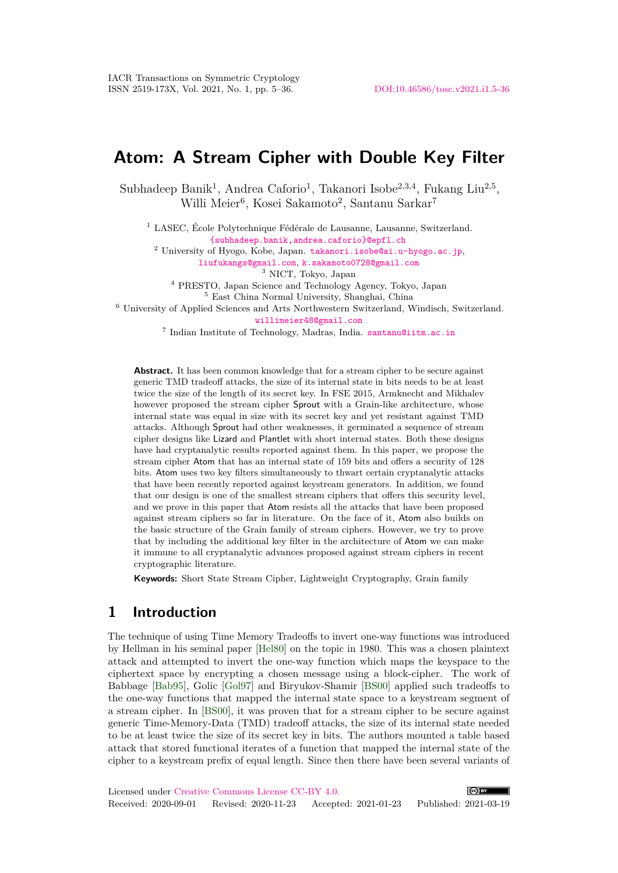# **Atom: A Stream Cipher with Double Key Filter**

Subhadeep Banik<sup>1</sup>, Andrea Caforio<sup>1</sup>, Takanori Isobe<sup>2,3,4</sup>, Fukang Liu<sup>2,5</sup>, Willi Meier<sup>6</sup>, Kosei Sakamoto<sup>2</sup>, Santanu Sarkar<sup>7</sup>

<sup>1</sup> LASEC, École Polytechnique Fédérale de Lausanne, Lausanne, Switzerland. {subhadeep.banik,andrea.caforio}@epfl.ch

<sup>2</sup> University of Hyogo, Kobe, Japan. takanori.isobe@ai.u-hyogo.ac.jp, liufukangs@gmail.com, k.sakamoto0728@gmail.com

<sup>3</sup> NICT, Tokyo, Japan

<sup>4</sup> PRESTO, Japan Science and Technology Agency, Tokyo, Japan

<sup>5</sup> East China Normal University, Shanghai, China

<sup>6</sup> University of Applied Sciences and Arts Northwestern Switzerland, Windisch, Switzerland.

willimeier48@gmail.com

7 Indian Institute of Technology, Madras, India. santanu@iitm.ac.in

Abstract. It has been common knowledge that for a stream cipher to be secure against generic TMD tradeoff attacks, the size of its internal state in bits needs to be at least twice the size of the length of its secret key. In FSE 2015, Armknecht and Mikhalev however proposed the stream cipher Sprout with a Grain-like architecture, whose internal state was equal in size with its secret key and yet resistant against TMD attacks. Although Sprout had other weaknesses, it germinated a sequence of stream cipher designs like Lizard and Plantlet with short internal states. Both these designs have had cryptanalytic results reported against them. In this paper, we propose the stream cipher Atom that has an internal state of 159 bits and offers a security of 128 bits. Atom uses two key filters simultaneously to thwart certain cryptanalytic attacks that have been recently reported against keystream generators. In addition, we found that our design is one of the smallest stream ciphers that offers this security level, and we prove in this paper that Atom resists all the attacks that have been proposed against stream ciphers so far in literature. On the face of it, Atom also builds on the basic structure of the Grain family of stream ciphers. However, we try to prove that by including the additional key filter in the architecture of Atom we can make it immune to all cryptanalytic advances proposed against stream ciphers in recent cryptographic literature.

**Keywords:** Short State Stream Cipher, Lightweight Cryptography, Grain family

### **1 Introduction**

The technique of using Time Memory Tradeoffs to invert one-way functions was introduced by Hellman in his seminal paper [Hel80] on the topic in 1980. This was a chosen plaintext attack and attempted to invert the one-way function which maps the keyspace to the ciphertext space by encrypting a chosen message using a block-cipher. The work of Babbage [Bab95], Golic [Gol97] and Biryukov-Shamir [BS00] applied such tradeoffs to the one-way functions that mapped the internal state space to a keystream segment of a stream cipher. In [BS00], it was proven that for a stream cipher to be secure against generic Time-Memory-Data (TMD) tradeoff attacks, the size of its internal state needed to be at least twice the size of its secret key in bits. The authors mounted a table based attack that stored functional iterates of a function that mapped the internal state of the cipher to a keystream prefix of equal length. Since then there have been several variants of

```
Licensed under Creative Commons License CC-BY 4.0.
                                                                            (c) BY
Received: 2020-09-01 Revised: 2020-11-23 Accepted: 2021-01-23 Published: 2021-03-19
```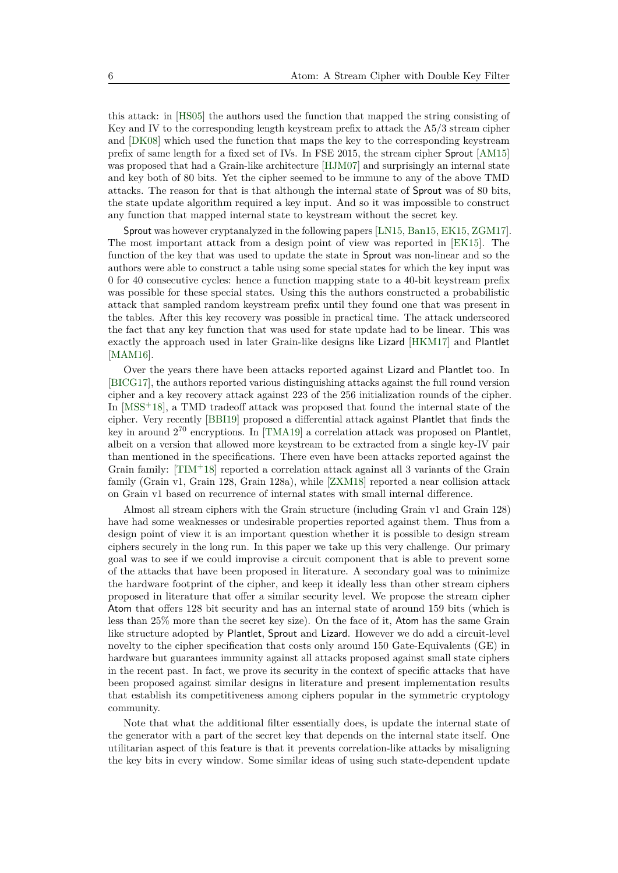this attack: in [HS05] the authors used the function that mapped the string consisting of Key and IV to the corresponding length keystream prefix to attack the A5/3 stream cipher and [DK08] which used the function that maps the key to the corresponding keystream prefix of same length for a fixed set of IVs. In FSE 2015, the stream cipher Sprout [AM15] was proposed that had a Grain-like architecture [HJM07] and surprisingly an internal state and key both of 80 bits. Yet the cipher seemed to be immune to any of the above TMD attacks. The reason for that is that although the internal state of Sprout was of 80 bits, the state update algorithm required a key input. And so it was impossible to construct any function that mapped internal state to keystream without the secret key.

Sprout was however cryptanalyzed in the following papers [LN15, Ban15, EK15, ZGM17]. The most important attack from a design point of view was reported in [EK15]. The function of the key that was used to update the state in Sprout was non-linear and so the authors were able to construct a table using some special states for which the key input was 0 for 40 consecutive cycles: hence a function mapping state to a 40-bit keystream prefix was possible for these special states. Using this the authors constructed a probabilistic attack that sampled random keystream prefix until they found one that was present in the tables. After this key recovery was possible in practical time. The attack underscored the fact that any key function that was used for state update had to be linear. This was exactly the approach used in later Grain-like designs like Lizard [HKM17] and Plantlet [MAM16].

Over the years there have been attacks reported against Lizard and Plantlet too. In [BICG17], the authors reported various distinguishing attacks against the full round version cipher and a key recovery attack against 223 of the 256 initialization rounds of the cipher. In  $[{\rm MSS}^+18]$ , a TMD tradeoff attack was proposed that found the internal state of the cipher. Very recently [BBI19] proposed a differential attack against Plantlet that finds the key in around  $2^{70}$  encryptions. In [TMA19] a correlation attack was proposed on Plantlet, albeit on a version that allowed more keystream to be extracted from a single key-IV pair than mentioned in the specifications. There even have been attacks reported against the Grain family:  $[TIM+18]$  reported a correlation attack against all 3 variants of the Grain family (Grain v1, Grain 128, Grain 128a), while [ZXM18] reported a near collision attack on Grain v1 based on recurrence of internal states with small internal difference.

Almost all stream ciphers with the Grain structure (including Grain v1 and Grain 128) have had some weaknesses or undesirable properties reported against them. Thus from a design point of view it is an important question whether it is possible to design stream ciphers securely in the long run. In this paper we take up this very challenge. Our primary goal was to see if we could improvise a circuit component that is able to prevent some of the attacks that have been proposed in literature. A secondary goal was to minimize the hardware footprint of the cipher, and keep it ideally less than other stream ciphers proposed in literature that offer a similar security level. We propose the stream cipher Atom that offers 128 bit security and has an internal state of around 159 bits (which is less than 25% more than the secret key size). On the face of it, Atom has the same Grain like structure adopted by Plantlet, Sprout and Lizard. However we do add a circuit-level novelty to the cipher specification that costs only around 150 Gate-Equivalents (GE) in hardware but guarantees immunity against all attacks proposed against small state ciphers in the recent past. In fact, we prove its security in the context of specific attacks that have been proposed against similar designs in literature and present implementation results that establish its competitiveness among ciphers popular in the symmetric cryptology community.

Note that what the additional filter essentially does, is update the internal state of the generator with a part of the secret key that depends on the internal state itself. One utilitarian aspect of this feature is that it prevents correlation-like attacks by misaligning the key bits in every window. Some similar ideas of using such state-dependent update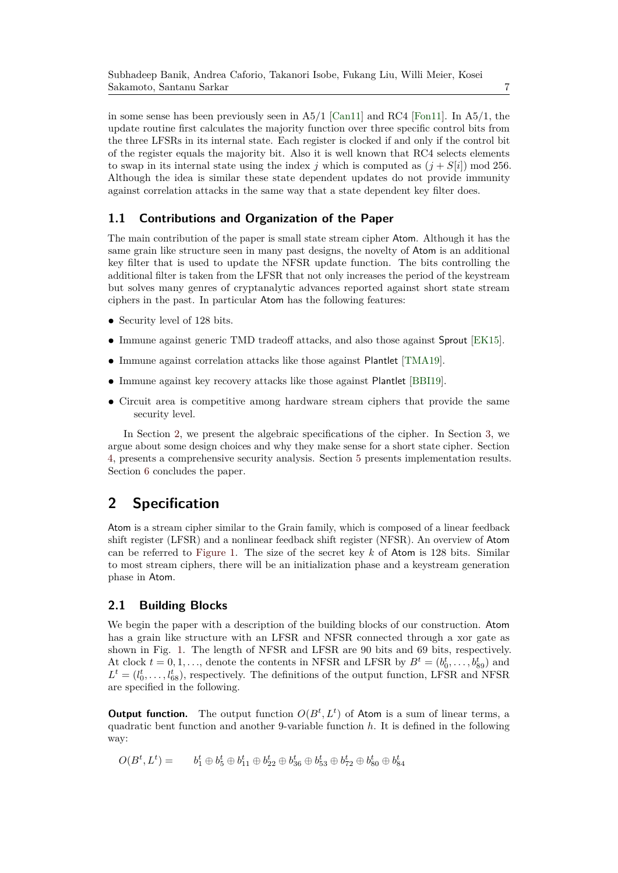in some sense has been previously seen in  $A5/1$  [Can11] and RC4 [Fon11]. In  $A5/1$ , the update routine first calculates the majority function over three specific control bits from the three LFSRs in its internal state. Each register is clocked if and only if the control bit of the register equals the majority bit. Also it is well known that RC4 selects elements to swap in its internal state using the index *j* which is computed as  $(j + S[i])$  mod 256. Although the idea is similar these state dependent updates do not provide immunity against correlation attacks in the same way that a state dependent key filter does.

### **1.1 Contributions and Organization of the Paper**

The main contribution of the paper is small state stream cipher Atom. Although it has the same grain like structure seen in many past designs, the novelty of Atom is an additional key filter that is used to update the NFSR update function. The bits controlling the additional filter is taken from the LFSR that not only increases the period of the keystream but solves many genres of cryptanalytic advances reported against short state stream ciphers in the past. In particular Atom has the following features:

- **•** Security level of 128 bits.
- **•** Immune against generic TMD tradeoff attacks, and also those against Sprout [EK15].
- **•** Immune against correlation attacks like those against Plantlet [TMA19].
- **•** Immune against key recovery attacks like those against Plantlet [BBI19].
- **•** Circuit area is competitive among hardware stream ciphers that provide the same security level.

In Section 2, we present the algebraic specifications of the cipher. In Section 3, we argue about some design choices and why they make sense for a short state cipher. Section 4, presents a comprehensive security analysis. Section 5 presents implementation results. Section 6 concludes the paper.

## **2 Specification**

Atom is a stream cipher similar to the Grain family, which is composed of a linear feedback shift register (LFSR) and a nonlinear feedback shift register (NFSR). An overview of Atom can be referred to Figure 1. The size of the secret key *k* of Atom is 128 bits. Similar to most stream ciphers, there will be an initialization phase and a keystream generation phase in Atom.

#### **2.1 Building Blocks**

We begin the paper with a description of the building blocks of our construction. Atom has a grain like structure with an LFSR and NFSR connected through a xor gate as shown in Fig. 1. The length of NFSR and LFSR are 90 bits and 69 bits, respectively. At clock  $t = 0, 1, \ldots$ , denote the contents in NFSR and LFSR by  $B^t = (b_0^t, \ldots, b_{89}^t)$  and  $L^t = (l_0^t, \ldots, l_{68}^t)$ , respectively. The definitions of the output function, LFSR and NFSR are specified in the following.

**Output function.** The output function  $O(B^t, L^t)$  of Atom is a sum of linear terms, a quadratic bent function and another 9-variable function *h*. It is defined in the following way:

$$
O(B^t, L^t) = \t b_1^t \oplus b_5^t \oplus b_{11}^t \oplus b_{22}^t \oplus b_{36}^t \oplus b_{53}^t \oplus b_{72}^t \oplus b_{80}^t \oplus b_{84}^t
$$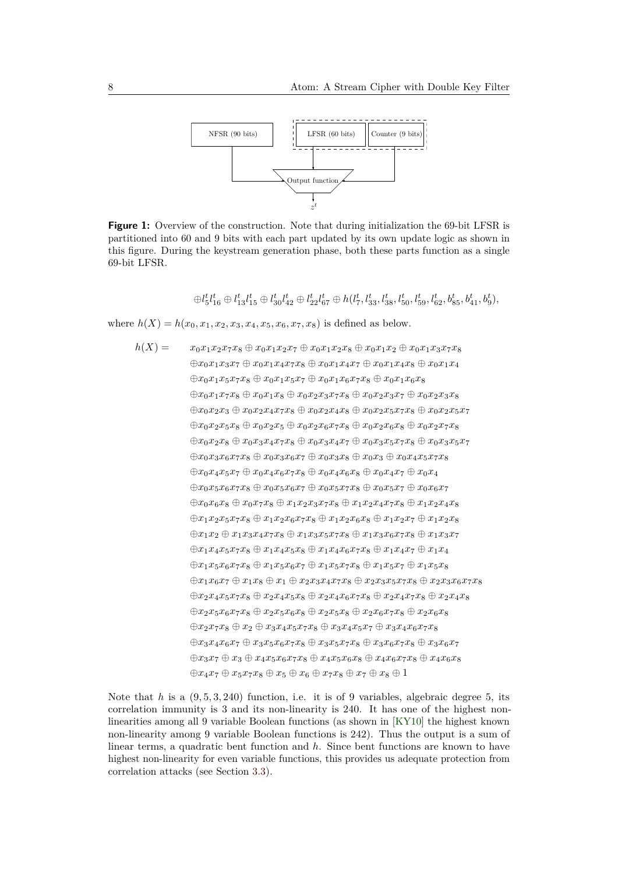

**Figure 1:** Overview of the construction. Note that during initialization the 69-bit LFSR is partitioned into 60 and 9 bits with each part updated by its own update logic as shown in this figure. During the keystream generation phase, both these parts function as a single 69-bit LFSR.

 $\oplus l_5^t l_{16}^t \oplus l_{13}^t l_{15}^t \oplus l_{30}^t l_{42}^t \oplus l_{22}^t l_{67}^t \oplus h(l_7^t, l_{33}^t, l_{38}^t, l_{50}^t, l_{59}^t, l_{62}^t, b_{85}^t, b_{41}^t, b_9^t),$ 

where  $h(X) = h(x_0, x_1, x_2, x_3, x_4, x_5, x_6, x_7, x_8)$  is defined as below.

$$
h(X) = x_0x_1x_2x_7x_8 \oplus x_0x_1x_2x_7 \oplus x_0x_1x_2x_8 \oplus x_0x_1x_2 \oplus x_0x_1x_3x_7x_8
$$
  
\n
$$
\oplus x_0x_1x_3x_7 \oplus x_0x_1x_4x_7x_8 \oplus x_0x_1x_4x_7 \oplus x_0x_1x_4x_8 \oplus x_0x_1x_4
$$
  
\n
$$
\oplus x_0x_1x_5x_7x_8 \oplus x_0x_1x_5x_7 \oplus x_0x_1x_6x_7x_8 \oplus x_0x_1x_6x_8
$$
  
\n
$$
\oplus x_0x_1x_7x_8 \oplus x_0x_2x_4x_7x_8 \oplus x_0x_2x_3x_7x_8 \oplus x_0x_2x_3x_7 \oplus x_0x_2x_3x_8
$$
  
\n
$$
\oplus x_0x_2x_3 \oplus x_0x_2x_4x_7x_8 \oplus x_0x_2x_4x_8 \oplus x_0x_2x_5x_7x_8 \oplus x_0x_2x_5x_7
$$
  
\n
$$
\oplus x_0x_2x_5 \oplus x_0x_3x_4x_7x_8 \oplus x_0x_3x_4x_7 \oplus x_0x_3x_5x_7x_8 \oplus x_0x_3x_5x_7
$$
  
\n
$$
\oplus x_0x_3x_6x_7x_8 \oplus x_0x_3x_6x_7 \oplus x_0x_3x_8 \oplus x_0x_3 \oplus x_0x_4x_5x_7x_8
$$
  
\n
$$
\oplus x_0x_4x_5x_7 \oplus x_0x_4x_6x_7x_8 \oplus x_0x_3x_8 \oplus x_0x_3x_5x_7x_8 \oplus x_0x_3x_5x_7
$$
  
\n
$$
\oplus x_0x_4x_5x_7 \oplus x_0x_3x_6x_7 \oplus x_0x_3x_8 \oplus x_0x_4x_7 \oplus x_0x_4
$$

Note that  $h$  is a  $(9, 5, 3, 240)$  function, i.e. it is of 9 variables, algebraic degree 5, its correlation immunity is 3 and its non-linearity is 240. It has one of the highest nonlinearities among all 9 variable Boolean functions (as shown in [KY10] the highest known non-linearity among 9 variable Boolean functions is 242). Thus the output is a sum of linear terms, a quadratic bent function and *h*. Since bent functions are known to have highest non-linearity for even variable functions, this provides us adequate protection from correlation attacks (see Section 3.3).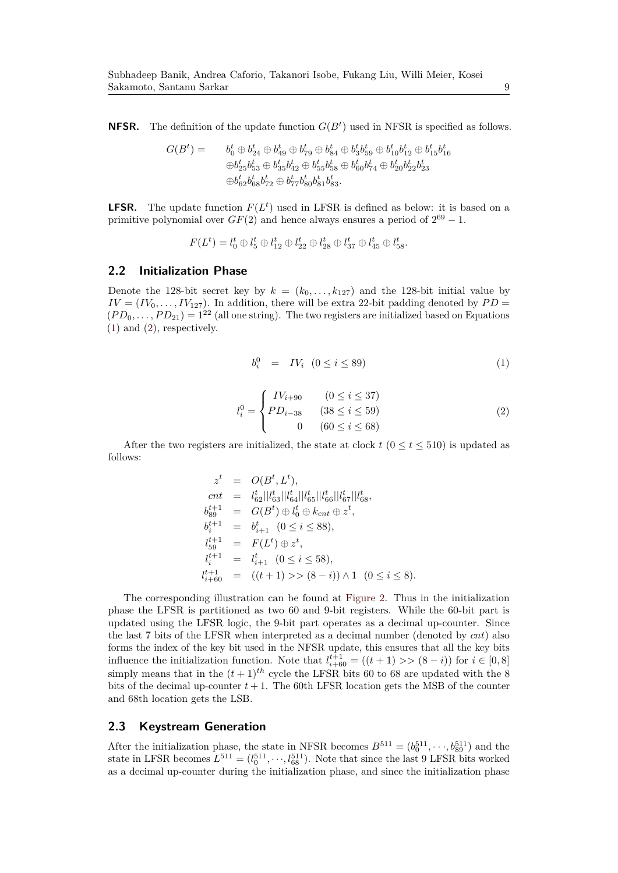**NFSR.** The definition of the update function  $G(B<sup>t</sup>)$  used in NFSR is specified as follows.

$$
G(Bt) = b0t \oplus b24t \oplus b49t \oplus b79t \oplus b84t \oplus b36t \oplus b10t \oplus b15t \oplus b15t \oplus b15t \oplus b15t \oplus b15t \oplus b15t \oplus b15t \oplus b15t \oplus b15t \oplus b15t \oplus b15t \oplus b15t \oplus b15t \oplus b15t \oplus b15t \oplus b15t \oplus b15t \oplus b15t \oplus b15t \oplus b15t \oplus b15t \oplus b15t \oplus b15t \oplus b15t \oplus b15t \oplus b15t \oplus b15t \oplus b15t \oplus b15t \oplus b15t \oplus b15t \oplus b15t \oplus b15t \oplus b15t \oplus b15t \oplus b15t \oplus b15t \oplus b
$$

**LFSR.** The update function  $F(L^t)$  used in LFSR is defined as below: it is based on a primitive polynomial over  $GF(2)$  and hence always ensures a period of  $2^{69} - 1$ .

$$
F(Lt) = l0t \oplus l5t \oplus l12t \oplus l22t \oplus l28t \oplus l37t \oplus l45t \oplus l58t.
$$

#### **2.2 Initialization Phase**

Denote the 128-bit secret key by  $k = (k_0, \ldots, k_{127})$  and the 128-bit initial value by  $IV = (IV_0, \ldots, IV_{127})$ . In addition, there will be extra 22-bit padding denoted by  $PD =$  $(PD_0, \ldots, PD_{21}) = 1^{22}$  (all one string). The two registers are initialized based on Equations (1) and (2), respectively.

$$
b_i^0 = IV_i \quad (0 \le i \le 89)
$$

$$
l_i^0 = \begin{cases} IV_{i+90} & (0 \le i \le 37) \\ PD_{i-38} & (38 \le i \le 59) \\ 0 & (60 \le i \le 68) \end{cases}
$$
 (2)

After the two registers are initialized, the state at clock  $t$  ( $0 \le t \le 510$ ) is updated as follows:

$$
z^{t} = O(B^{t}, L^{t}),
$$
  
\n
$$
cnt = l_{62}^{t} ||l_{63}^{t} ||l_{64}^{t} ||l_{65}^{t} ||l_{66}^{t} ||l_{67}^{t} ||l_{68}^{t},
$$
  
\n
$$
b_{89}^{t+1} = G(B^{t}) \oplus l_{0}^{t} \oplus k_{cnt} \oplus z^{t},
$$
  
\n
$$
b_{i}^{t+1} = b_{i+1}^{t} (0 \leq i \leq 88),
$$
  
\n
$$
l_{59}^{t+1} = F(L^{t}) \oplus z^{t},
$$
  
\n
$$
l_{i}^{t+1} = l_{i+1}^{t} (0 \leq i \leq 58),
$$
  
\n
$$
l_{i+60}^{t+1} = ((t+1) >> (8-i)) \wedge 1 (0 \leq i \leq 8).
$$

The corresponding illustration can be found at Figure 2. Thus in the initialization phase the LFSR is partitioned as two 60 and 9-bit registers. While the 60-bit part is updated using the LFSR logic, the 9-bit part operates as a decimal up-counter. Since the last 7 bits of the LFSR when interpreted as a decimal number (denoted by *cnt*) also forms the index of the key bit used in the NFSR update, this ensures that all the key bits influence the initialization function. Note that  $l_{i+60}^{t+1} = ((t+1) \gt (8-i))$  for  $i \in [0,8]$ simply means that in the  $(t+1)^{th}$  cycle the LFSR bits 60 to 68 are updated with the 8 bits of the decimal up-counter  $t + 1$ . The 60th LFSR location gets the MSB of the counter and 68th location gets the LSB.

#### **2.3 Keystream Generation**

After the initialization phase, the state in NFSR becomes  $B^{511} = (b_0^{511}, \dots, b_{89}^{511})$  and the state in LFSR becomes  $L^{511} = (l_0^{511}, \dots, l_{68}^{511})$ . Note that since the last 9 LFSR bits worked as a decimal up-counter during the initialization phase, and since the initialization phase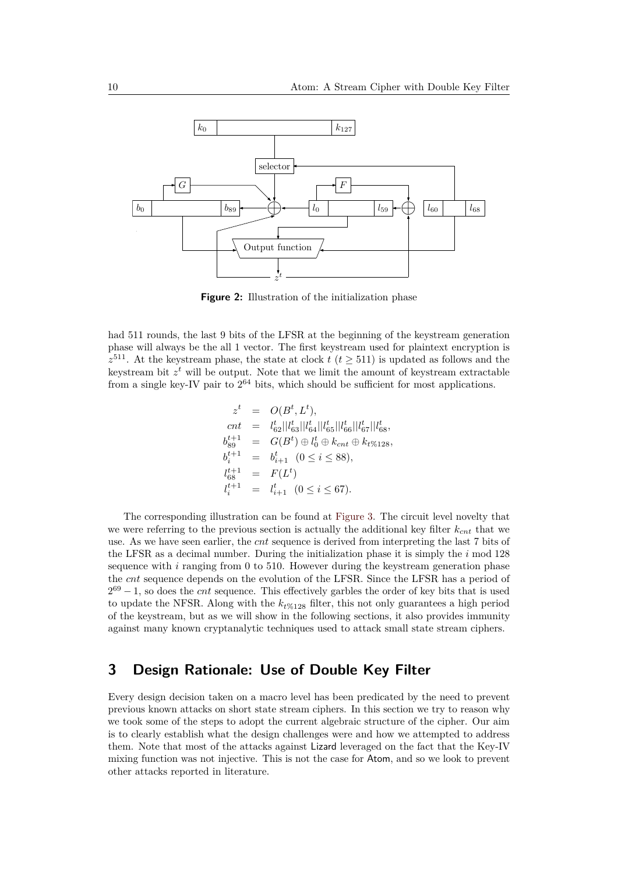

**Figure 2:** Illustration of the initialization phase

had 511 rounds, the last 9 bits of the LFSR at the beginning of the keystream generation phase will always be the all 1 vector. The first keystream used for plaintext encryption is  $z^{511}$ . At the keystream phase, the state at clock *t* (*t*  $\geq$  511) is updated as follows and the keystream bit  $z<sup>t</sup>$  will be output. Note that we limit the amount of keystream extractable from a single key-IV pair to  $2^{64}$  bits, which should be sufficient for most applications.

$$
z^{t} = O(B^{t}, L^{t}),
$$
  
\n
$$
cnt = l_{62}^{t} || l_{63}^{t} || l_{64}^{t} || l_{65}^{t} || l_{66}^{t} || l_{67}^{t} || l_{68}^{t},
$$
  
\n
$$
b_{89}^{t+1} = G(B^{t}) \oplus l_{0}^{t} \oplus k_{cnt} \oplus k_{t\%128},
$$
  
\n
$$
b_{i}^{t+1} = b_{i+1}^{t} (0 \leq i \leq 88),
$$
  
\n
$$
l_{68}^{t+1} = F(L^{t})
$$
  
\n
$$
l_{i}^{t+1} = l_{i+1}^{t} (0 \leq i \leq 67).
$$

The corresponding illustration can be found at Figure 3. The circuit level novelty that we were referring to the previous section is actually the additional key filter *kcnt* that we use. As we have seen earlier, the *cnt* sequence is derived from interpreting the last 7 bits of the LFSR as a decimal number. During the initialization phase it is simply the *i* mod 128 sequence with *i* ranging from 0 to 510. However during the keystream generation phase the *cnt* sequence depends on the evolution of the LFSR. Since the LFSR has a period of  $2^{69} - 1$ , so does the *cnt* sequence. This effectively garbles the order of key bits that is used to update the NFSR. Along with the *k<sup>t</sup>*%128 filter, this not only guarantees a high period of the keystream, but as we will show in the following sections, it also provides immunity against many known cryptanalytic techniques used to attack small state stream ciphers.

## **3 Design Rationale: Use of Double Key Filter**

Every design decision taken on a macro level has been predicated by the need to prevent previous known attacks on short state stream ciphers. In this section we try to reason why we took some of the steps to adopt the current algebraic structure of the cipher. Our aim is to clearly establish what the design challenges were and how we attempted to address them. Note that most of the attacks against Lizard leveraged on the fact that the Key-IV mixing function was not injective. This is not the case for Atom, and so we look to prevent other attacks reported in literature.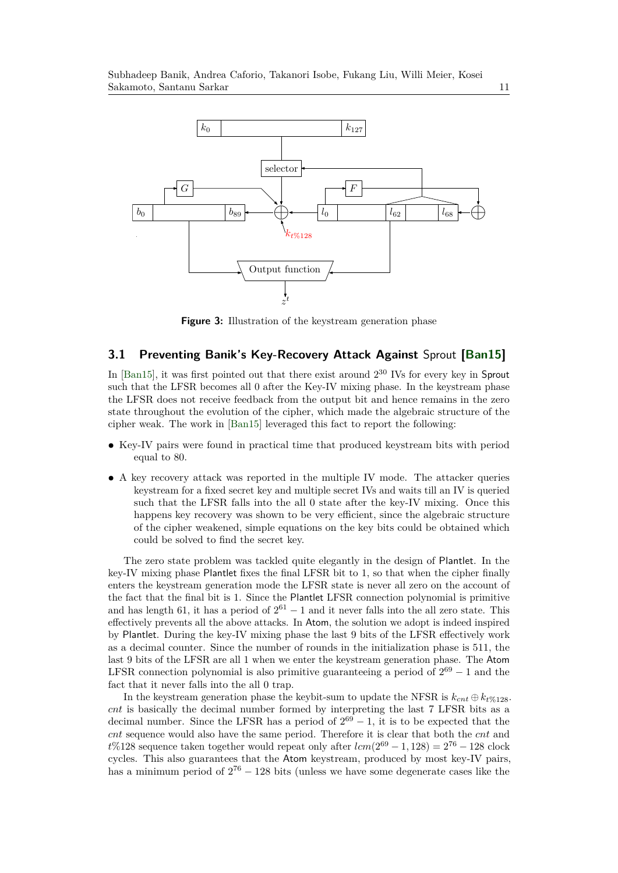

**Figure 3:** Illustration of the keystream generation phase

#### **3.1 Preventing Banik's Key-Recovery Attack Against** Sprout **[Ban15]**

In [Ban15], it was first pointed out that there exist around  $2^{30}$  IVs for every key in Sprout such that the LFSR becomes all 0 after the Key-IV mixing phase. In the keystream phase the LFSR does not receive feedback from the output bit and hence remains in the zero state throughout the evolution of the cipher, which made the algebraic structure of the cipher weak. The work in [Ban15] leveraged this fact to report the following:

- **•** Key-IV pairs were found in practical time that produced keystream bits with period equal to 80.
- **•** A key recovery attack was reported in the multiple IV mode. The attacker queries keystream for a fixed secret key and multiple secret IVs and waits till an IV is queried such that the LFSR falls into the all 0 state after the key-IV mixing. Once this happens key recovery was shown to be very efficient, since the algebraic structure of the cipher weakened, simple equations on the key bits could be obtained which could be solved to find the secret key.

The zero state problem was tackled quite elegantly in the design of Plantlet. In the key-IV mixing phase Plantlet fixes the final LFSR bit to 1, so that when the cipher finally enters the keystream generation mode the LFSR state is never all zero on the account of the fact that the final bit is 1. Since the Plantlet LFSR connection polynomial is primitive and has length 61, it has a period of  $2^{61} - 1$  and it never falls into the all zero state. This effectively prevents all the above attacks. In Atom, the solution we adopt is indeed inspired by Plantlet. During the key-IV mixing phase the last 9 bits of the LFSR effectively work as a decimal counter. Since the number of rounds in the initialization phase is 511, the last 9 bits of the LFSR are all 1 when we enter the keystream generation phase. The Atom LFSR connection polynomial is also primitive guaranteeing a period of  $2^{69} - 1$  and the fact that it never falls into the all 0 trap.

In the keystream generation phase the keybit-sum to update the NFSR is  $k_{cnt} \oplus k_{t\%128}$ . *cnt* is basically the decimal number formed by interpreting the last 7 LFSR bits as a decimal number. Since the LFSR has a period of  $2^{69} - 1$ , it is to be expected that the *cnt* sequence would also have the same period. Therefore it is clear that both the *cnt* and  $t\%128$  sequence taken together would repeat only after  $lcm(2^{69} - 1, 128) = 2^{76} - 128$  clock cycles. This also guarantees that the Atom keystream, produced by most key-IV pairs, has a minimum period of  $2^{76} - 128$  bits (unless we have some degenerate cases like the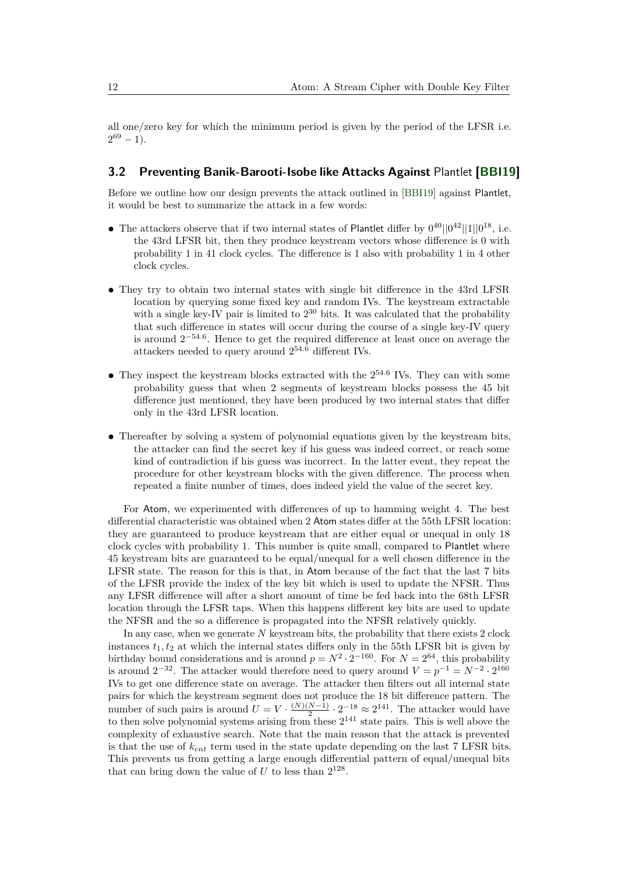all one/zero key for which the minimum period is given by the period of the LFSR i.e.  $2^{69} - 1$ ).

#### **3.2 Preventing Banik-Barooti-Isobe like Attacks Against** Plantlet **[BBI19]**

Before we outline how our design prevents the attack outlined in [BBI19] against Plantlet, it would be best to summarize the attack in a few words:

- The attackers observe that if two internal states of Plantlet differ by  $0^{40}||0^{42}||1||0^{18}$ , i.e. the 43rd LFSR bit, then they produce keystream vectors whose difference is 0 with probability 1 in 41 clock cycles. The difference is 1 also with probability 1 in 4 other clock cycles.
- They try to obtain two internal states with single bit difference in the 43rd LFSR location by querying some fixed key and random IVs. The keystream extractable with a single key-IV pair is limited to  $2^{30}$  bits. It was calculated that the probability that such difference in states will occur during the course of a single key-IV query is around 2<sup>−</sup>54*.*<sup>6</sup> . Hence to get the required difference at least once on average the attackers needed to query around 2<sup>54</sup>*.*<sup>6</sup> different IVs.
- They inspect the keystream blocks extracted with the  $2^{54.6}$  IVs. They can with some probability guess that when 2 segments of keystream blocks possess the 45 bit difference just mentioned, they have been produced by two internal states that differ only in the 43rd LFSR location.
- Thereafter by solving a system of polynomial equations given by the keystream bits, the attacker can find the secret key if his guess was indeed correct, or reach some kind of contradiction if his guess was incorrect. In the latter event, they repeat the procedure for other keystream blocks with the given difference. The process when repeated a finite number of times, does indeed yield the value of the secret key.

For Atom, we experimented with differences of up to hamming weight 4. The best differential characteristic was obtained when 2 Atom states differ at the 55th LFSR location: they are guaranteed to produce keystream that are either equal or unequal in only 18 clock cycles with probability 1. This number is quite small, compared to Plantlet where 45 keystream bits are guaranteed to be equal/unequal for a well chosen difference in the LFSR state. The reason for this is that, in Atom because of the fact that the last 7 bits of the LFSR provide the index of the key bit which is used to update the NFSR. Thus any LFSR difference will after a short amount of time be fed back into the 68th LFSR location through the LFSR taps. When this happens different key bits are used to update the NFSR and the so a difference is propagated into the NFSR relatively quickly.

In any case, when we generate N keystream bits, the probability that there exists 2 clock instances  $t_1, t_2$  at which the internal states differs only in the 55th LFSR bit is given by birthday bound considerations and is around  $p = N^2 \cdot 2^{-160}$ . For  $N = 2^{64}$ , this probability is around  $2^{-32}$ . The attacker would therefore need to query around  $V = p^{-1} = N^{-2} \cdot 2^{160}$ IVs to get one difference state on average. The attacker then filters out all internal state pairs for which the keystream segment does not produce the 18 bit difference pattern. The number of such pairs is around  $U = V \cdot \frac{(N)(N-1)}{2}$  $\frac{N-1}{2} \cdot 2^{-18} \approx 2^{141}$ . The attacker would have to then solve polynomial systems arising from these  $2^{141}$  state pairs. This is well above the complexity of exhaustive search. Note that the main reason that the attack is prevented is that the use of *kcnt* term used in the state update depending on the last 7 LFSR bits. This prevents us from getting a large enough differential pattern of equal/unequal bits that can bring down the value of  $U$  to less than  $2^{128}$ .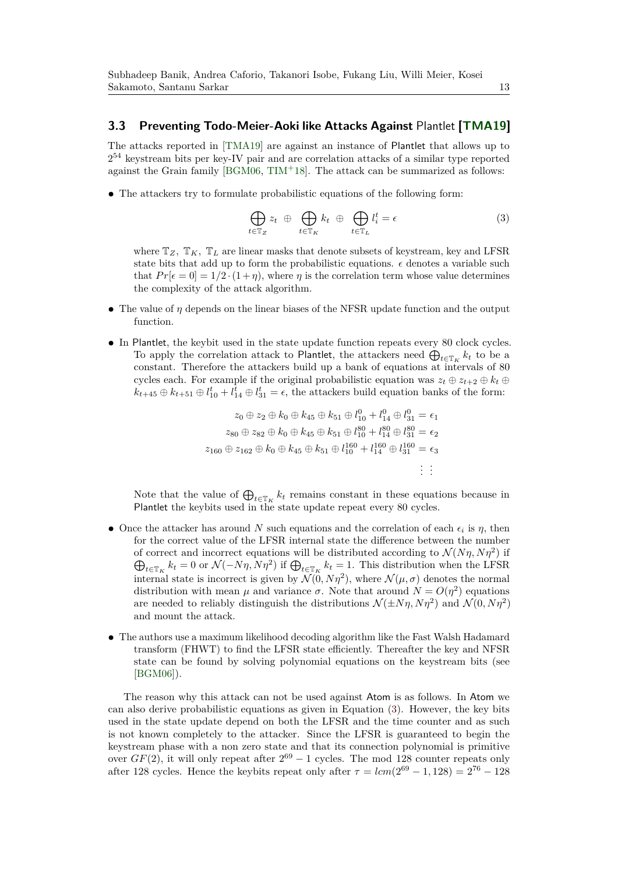#### **3.3 Preventing Todo-Meier-Aoki like Attacks Against** Plantlet **[TMA19]**

The attacks reported in [TMA19] are against an instance of Plantlet that allows up to 2 <sup>54</sup> keystream bits per key-IV pair and are correlation attacks of a similar type reported against the Grain family [BGM06, TIM+18]. The attack can be summarized as follows:

• The attackers try to formulate probabilistic equations of the following form:

$$
\bigoplus_{t \in \mathbb{T}_Z} z_t \; \oplus \; \bigoplus_{t \in \mathbb{T}_K} k_t \; \oplus \; \bigoplus_{t \in \mathbb{T}_L} l_i^t = \epsilon \tag{3}
$$

where  $\mathbb{T}_Z$ ,  $\mathbb{T}_K$ ,  $\mathbb{T}_L$  are linear masks that denote subsets of keystream, key and LFSR state bits that add up to form the probabilistic equations.  $\epsilon$  denotes a variable such that  $Pr[\epsilon = 0] = 1/2 \cdot (1 + \eta)$ , where  $\eta$  is the correlation term whose value determines the complexity of the attack algorithm.

- **•** The value of *η* depends on the linear biases of the NFSR update function and the output function.
- In Plantlet, the keybit used in the state update function repeats every 80 clock cycles. To apply the correlation attack to Plantlet, the attackers need  $\bigoplus_{t \in \mathbb{T}_K} k_t$  to be a constant. Therefore the attackers build up a bank of equations at intervals of 80 cycles each. For example if the original probabilistic equation was  $z_t \oplus z_{t+2} \oplus k_t \oplus z_t$  $k_{t+45} \oplus k_{t+51} \oplus l_{10}^t + l_{14}^t \oplus l_{31}^t = \epsilon$ , the attackers build equation banks of the form:

$$
z_0 \oplus z_2 \oplus k_0 \oplus k_{45} \oplus k_{51} \oplus l_{10}^0 + l_{14}^0 \oplus l_{31}^0 = \epsilon_1
$$
  
\n
$$
z_{80} \oplus z_{82} \oplus k_0 \oplus k_{45} \oplus k_{51} \oplus l_{10}^{80} + l_{14}^{80} \oplus l_{31}^{80} = \epsilon_2
$$
  
\n
$$
z_{160} \oplus z_{162} \oplus k_0 \oplus k_{45} \oplus k_{51} \oplus l_{10}^{160} + l_{14}^{160} \oplus l_{31}^{160} = \epsilon_3
$$
  
\n
$$
\vdots
$$

Note that the value of  $\bigoplus_{t\in\mathbb{T}_K} k_t$  remains constant in these equations because in Plantlet the keybits used in the state update repeat every 80 cycles.

- Once the attacker has around *N* such equations and the correlation of each  $\epsilon_i$  is  $\eta$ , then for the correct value of the LFSR internal state the difference between the number of correct and incorrect equations will be distributed according to  $\mathcal{N}(N\eta, N\eta^2)$  if  $\bigoplus_{t \in \mathbb{T}_K} k_t = 0$  or  $\mathcal{N}(-N\eta, N\eta^2)$  if  $\bigoplus_{t \in \mathbb{T}_K} k_t = 1$ . This distribution when the LFSR internal state is incorrect is given by  $\mathcal{N}(0, N\eta^2)$ , where  $\mathcal{N}(\mu, \sigma)$  denotes the normal distribution with mean  $\mu$  and variance  $\sigma$ . Note that around  $N = O(\eta^2)$  equations are needed to reliably distinguish the distributions  $\mathcal{N}(\pm N\eta, N\eta^2)$  and  $\mathcal{N}(0, N\eta^2)$ and mount the attack.
- **•** The authors use a maximum likelihood decoding algorithm like the Fast Walsh Hadamard transform (FHWT) to find the LFSR state efficiently. Thereafter the key and NFSR state can be found by solving polynomial equations on the keystream bits (see [BGM06]).

The reason why this attack can not be used against Atom is as follows. In Atom we can also derive probabilistic equations as given in Equation  $(3)$ . However, the key bits used in the state update depend on both the LFSR and the time counter and as such is not known completely to the attacker. Since the LFSR is guaranteed to begin the keystream phase with a non zero state and that its connection polynomial is primitive over  $GF(2)$ , it will only repeat after  $2^{69} - 1$  cycles. The mod 128 counter repeats only after 128 cycles. Hence the keybits repeat only after  $\tau = lcm(2^{69} - 1, 128) = 2^{76} - 128$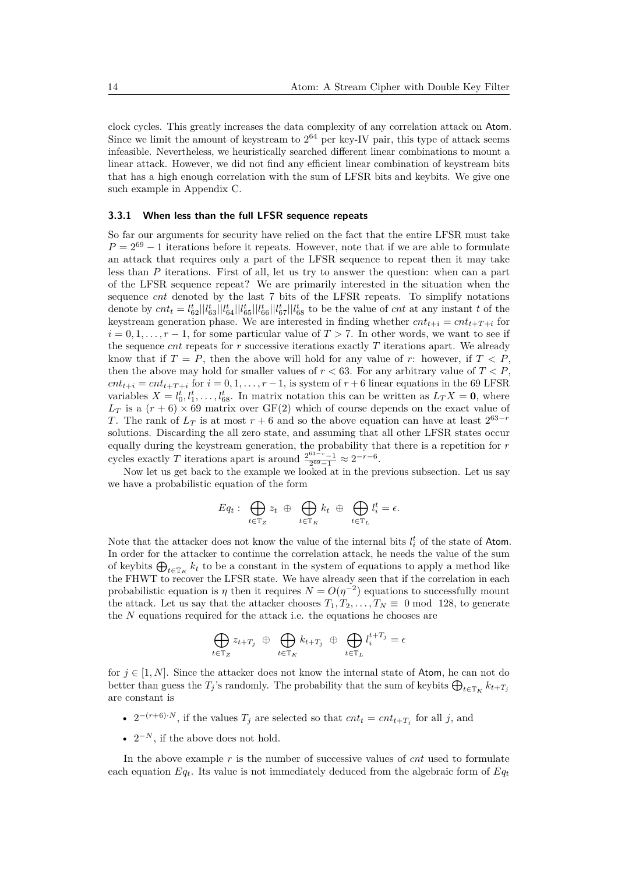clock cycles. This greatly increases the data complexity of any correlation attack on Atom. Since we limit the amount of keystream to  $2^{64}$  per key-IV pair, this type of attack seems infeasible. Nevertheless, we heuristically searched different linear combinations to mount a linear attack. However, we did not find any efficient linear combination of keystream bits that has a high enough correlation with the sum of LFSR bits and keybits. We give one such example in Appendix C.

#### **3.3.1 When less than the full LFSR sequence repeats**

So far our arguments for security have relied on the fact that the entire LFSR must take  $P = 2^{69} - 1$  iterations before it repeats. However, note that if we are able to formulate an attack that requires only a part of the LFSR sequence to repeat then it may take less than *P* iterations. First of all, let us try to answer the question: when can a part of the LFSR sequence repeat? We are primarily interested in the situation when the sequence *cnt* denoted by the last 7 bits of the LFSR repeats. To simplify notations denote by  $cnt_t = l_{62}^t || l_{63}^t || l_{64}^t || l_{65}^t || l_{66}^t || l_{67}^t || l_{68}^t$  to be the value of  $cnt$  at any instant t of the keystream generation phase. We are interested in finding whether  $cnt_{t+i} = cnt_{t+T+i}$  for  $i = 0, 1, \ldots, r - 1$ , for some particular value of  $T > 7$ . In other words, we want to see if the sequence *cnt* repeats for *r* successive iterations exactly *T* iterations apart. We already know that if  $T = P$ , then the above will hold for any value of *r*: however, if  $T < P$ , then the above may hold for smaller values of  $r < 63$ . For any arbitrary value of  $T < P$ ,  $cnt_{t+i} = cnt_{t+T+i}$  for  $i = 0, 1, \ldots, r-1$ , is system of  $r+6$  linear equations in the 69 LFSR variables  $X = l_0^t, l_1^t, \ldots, l_{68}^t$ . In matrix notation this can be written as  $L_T X = 0$ , where  $L_T$  is a  $(r+6) \times 69$  matrix over GF(2) which of course depends on the exact value of *T*. The rank of  $L_T$  is at most  $r + 6$  and so the above equation can have at least  $2^{63-r}$ solutions. Discarding the all zero state, and assuming that all other LFSR states occur equally during the keystream generation, the probability that there is a repetition for *r* cycles exactly *T* iterations apart is around  $\frac{2^{63-r}-1}{2^{69}-1} \approx 2^{-r-6}$ .

Now let us get back to the example we looked at in the previous subsection. Let us say we have a probabilistic equation of the form

$$
Eq_t: \bigoplus_{t \in \mathbb{T}_Z} z_t \oplus \bigoplus_{t \in \mathbb{T}_K} k_t \oplus \bigoplus_{t \in \mathbb{T}_L} l_i^t = \epsilon.
$$

Note that the attacker does not know the value of the internal bits  $l_i^t$  of the state of Atom. In order for the attacker to continue the correlation attack, he needs the value of the sum of keybits  $\bigoplus_{t\in\mathbb{T}_K} k_t$  to be a constant in the system of equations to apply a method like the FHWT to recover the LFSR state. We have already seen that if the correlation in each probabilistic equation is  $\eta$  then it requires  $N = O(\eta^{-2})$  equations to successfully mount the attack. Let us say that the attacker chooses  $T_1, T_2, \ldots, T_N \equiv 0 \mod 128$ , to generate the *N* equations required for the attack i.e. the equations he chooses are

$$
\bigoplus_{t \in \mathbb{T}_Z} z_{t+T_j} \oplus \bigoplus_{t \in \mathbb{T}_K} k_{t+T_j} \oplus \bigoplus_{t \in \mathbb{T}_L} l_i^{t+T_j} = \epsilon
$$

for  $j \in [1, N]$ . Since the attacker does not know the internal state of Atom, he can not do better than guess the  $T_j$ 's randomly. The probability that the sum of keybits  $\bigoplus_{t \in \mathbb{T}_K} k_{t+T_j}$ are constant is

- $2^{-(r+6)\cdot N}$ , if the values  $T_j$  are selected so that  $cnt_t = cnt_{t+T_j}$  for all *j*, and
- $2^{-N}$ , if the above does not hold.

In the above example *r* is the number of successive values of *cnt* used to formulate each equation  $Eq_t$ . Its value is not immediately deduced from the algebraic form of  $Eq_t$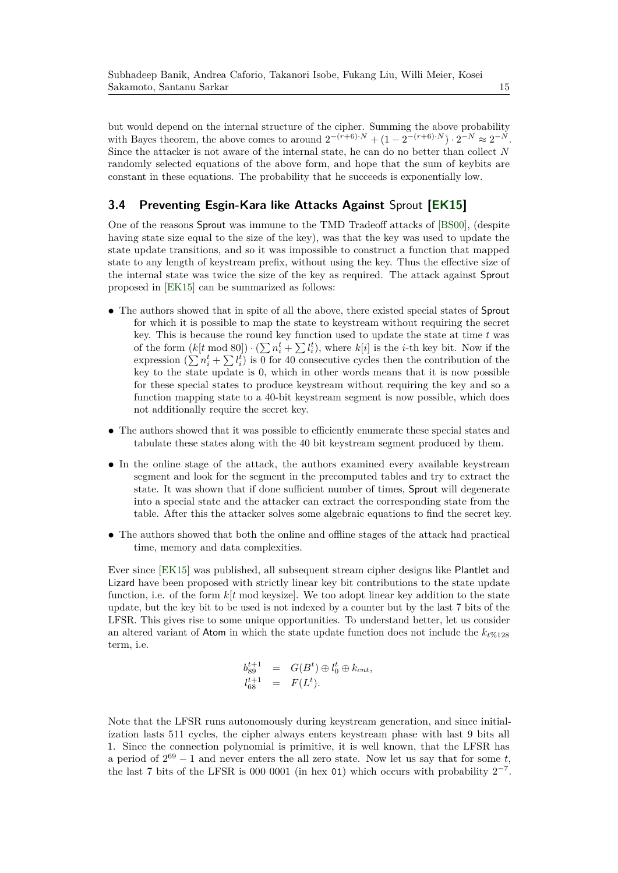but would depend on the internal structure of the cipher. Summing the above probability with Bayes theorem, the above comes to around  $2^{-(r+6)\cdot N} + (1 - 2^{-(r+6)\cdot N}) \cdot 2^{-N} \approx 2^{-N}$ . Since the attacker is not aware of the internal state, he can do no better than collect *N* randomly selected equations of the above form, and hope that the sum of keybits are constant in these equations. The probability that he succeeds is exponentially low.

#### **3.4 Preventing Esgin-Kara like Attacks Against** Sprout **[EK15]**

One of the reasons Sprout was immune to the TMD Tradeoff attacks of [BS00], (despite having state size equal to the size of the key), was that the key was used to update the state update transitions, and so it was impossible to construct a function that mapped state to any length of keystream prefix, without using the key. Thus the effective size of the internal state was twice the size of the key as required. The attack against Sprout proposed in [EK15] can be summarized as follows:

- The authors showed that in spite of all the above, there existed special states of Sprout for which it is possible to map the state to keystream without requiring the secret key. This is because the round key function used to update the state at time *t* was of the form  $(k[t \mod 80]) \cdot (\sum n_i^t + \sum l_i^t)$ , where  $k[i]$  is the *i*-th key bit. Now if the expression  $(\sum n_i^t + \sum l_i^t)$  is 0 for 40 consecutive cycles then the contribution of the key to the state update is 0, which in other words means that it is now possible for these special states to produce keystream without requiring the key and so a function mapping state to a 40-bit keystream segment is now possible, which does not additionally require the secret key.
- The authors showed that it was possible to efficiently enumerate these special states and tabulate these states along with the 40 bit keystream segment produced by them.
- In the online stage of the attack, the authors examined every available keystream segment and look for the segment in the precomputed tables and try to extract the state. It was shown that if done sufficient number of times, Sprout will degenerate into a special state and the attacker can extract the corresponding state from the table. After this the attacker solves some algebraic equations to find the secret key.
- **•** The authors showed that both the online and offline stages of the attack had practical time, memory and data complexities.

Ever since [EK15] was published, all subsequent stream cipher designs like Plantlet and Lizard have been proposed with strictly linear key bit contributions to the state update function, i.e. of the form  $k[t \mod k]$ . We too adopt linear key addition to the state update, but the key bit to be used is not indexed by a counter but by the last 7 bits of the LFSR. This gives rise to some unique opportunities. To understand better, let us consider an altered variant of Atom in which the state update function does not include the  $k_{t}\%$ <sub>128</sub> term, i.e.

$$
b_{89}^{t+1} = G(B^t) \oplus l_0^t \oplus k_{cnt},
$$
  

$$
l_{68}^{t+1} = F(L^t).
$$

Note that the LFSR runs autonomously during keystream generation, and since initialization lasts 511 cycles, the cipher always enters keystream phase with last 9 bits all 1. Since the connection polynomial is primitive, it is well known, that the LFSR has a period of  $2^{69} - 1$  and never enters the all zero state. Now let us say that for some t, the last 7 bits of the LFSR is 000 0001 (in hex 01) which occurs with probability  $2^{-7}$ .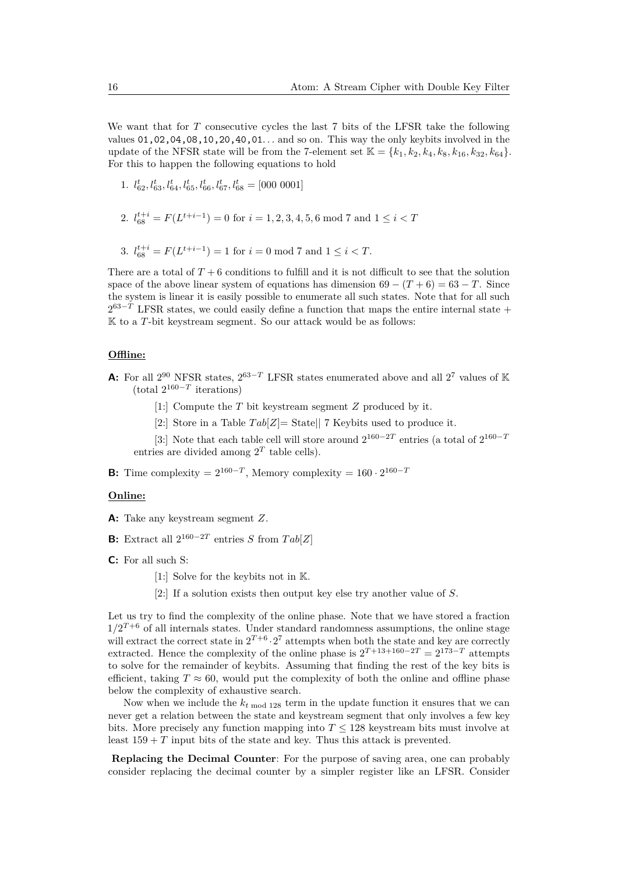We want that for *T* consecutive cycles the last 7 bits of the LFSR take the following values 01,02,04,08,10,20,40,01*. . .* and so on. This way the only keybits involved in the update of the NFSR state will be from the 7-element set  $K = \{k_1, k_2, k_4, k_8, k_{16}, k_{32}, k_{64}\}.$ For this to happen the following equations to hold

- 1.  $l_{62}^t, l_{63}^t, l_{64}^t, l_{65}^t, l_{66}^t, l_{67}^t, l_{68}^t = [000\ 0001]$
- 2.  $l_{68}^{t+i} = F(L^{t+i-1}) = 0$  for  $i = 1, 2, 3, 4, 5, 6 \mod 7$  and  $1 \le i < T$
- 3.  $l_{68}^{t+i} = F(L^{t+i-1}) = 1$  for  $i = 0 \mod 7$  and  $1 \le i < T$ .

There are a total of  $T + 6$  conditions to fulfill and it is not difficult to see that the solution space of the above linear system of equations has dimension  $69 - (T + 6) = 63 - T$ . Since the system is linear it is easily possible to enumerate all such states. Note that for all such  $2^{63-T}$  LFSR states, we could easily define a function that maps the entire internal state + K to a *T*-bit keystream segment. So our attack would be as follows:

#### **Offline:**

- **A:** For all  $2^{90}$  NFSR states,  $2^{63-T}$  LFSR states enumerated above and all  $2^7$  values of K  $(\text{total } 2^{160-T} \text{ iterations})$ 
	- [1:] Compute the *T* bit keystream segment *Z* produced by it.
	- [2:] Store in a Table *T ab*[*Z*]= State|| 7 Keybits used to produce it.

[3:] Note that each table cell will store around  $2^{160-2T}$  entries (a total of  $2^{160-7}$ entries are divided among  $2<sup>T</sup>$  table cells).

**B:** Time complexity =  $2^{160-T}$ , Memory complexity =  $160 \cdot 2^{160-T}$ 

#### **Online:**

- **A:** Take any keystream segment *Z*.
- **B:** Extract all  $2^{160-2T}$  entries *S* from  $Tab[Z]$
- **C:** For all such S:
	- [1:] Solve for the keybits not in K.
	- [2:] If a solution exists then output key else try another value of *S*.

Let us try to find the complexity of the online phase. Note that we have stored a fraction  $1/2^{T+6}$  of all internals states. Under standard randomness assumptions, the online stage will extract the correct state in  $2^{T+6} \cdot 2^7$  attempts when both the state and key are correctly extracted. Hence the complexity of the online phase is  $2^{T+13+160-2T} = 2^{173-T}$  attempts to solve for the remainder of keybits. Assuming that finding the rest of the key bits is efficient, taking  $T \approx 60$ , would put the complexity of both the online and offline phase below the complexity of exhaustive search.

Now when we include the  $k_{t \text{ mod } 128}$  term in the update function it ensures that we can never get a relation between the state and keystream segment that only involves a few key bits. More precisely any function mapping into  $T \leq 128$  keystream bits must involve at least  $159 + T$  input bits of the state and key. Thus this attack is prevented.

**Replacing the Decimal Counter**: For the purpose of saving area, one can probably consider replacing the decimal counter by a simpler register like an LFSR. Consider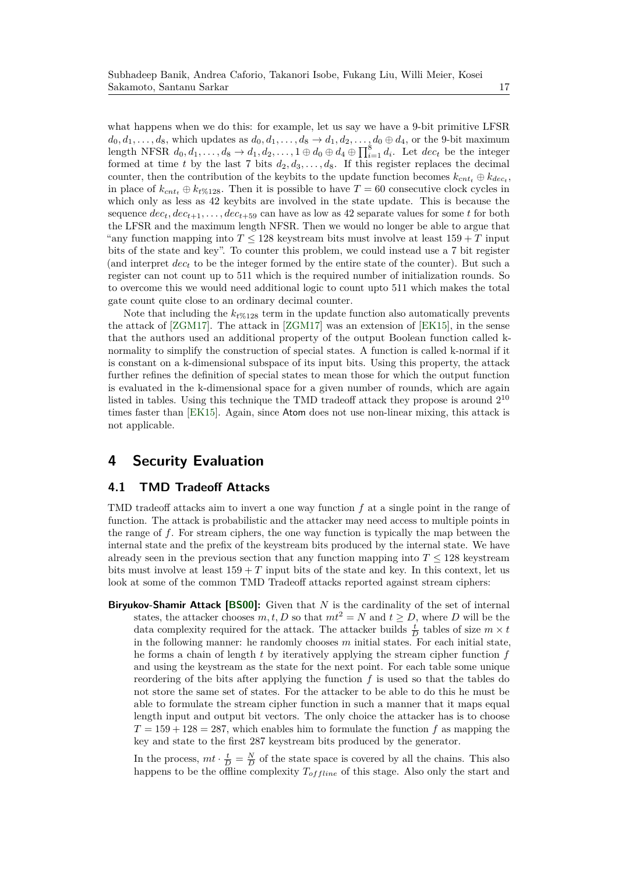what happens when we do this: for example, let us say we have a 9-bit primitive LFSR  $d_0, d_1, \ldots, d_8$ , which updates as  $d_0, d_1, \ldots, d_8 \to d_1, d_2, \ldots, d_0 \oplus d_4$ , or the 9-bit maximum length NFSR  $d_0, d_1, \ldots, d_8 \to d_1, d_2, \ldots, 1 \oplus d_0 \oplus d_4 \oplus \prod_{i=1}^8 d_i$ . Let  $dec_t$  be the integer formed at time *t* by the last 7 bits  $d_2, d_3, \ldots, d_8$ . If this register replaces the decimal counter, then the contribution of the keybits to the update function becomes  $k_{cnt} \oplus k_{dec}$ , in place of  $k_{cnt} \oplus k_{t\%128}$ . Then it is possible to have  $T = 60$  consecutive clock cycles in which only as less as 42 keybits are involved in the state update. This is because the sequence  $dec_t, dec_{t+1}, \ldots, dec_{t+59}$  can have as low as 42 separate values for some *t* for both the LFSR and the maximum length NFSR. Then we would no longer be able to argue that "any function mapping into  $T \leq 128$  keystream bits must involve at least  $159 + T$  input bits of the state and key". To counter this problem, we could instead use a 7 bit register (and interpret *dec<sup>t</sup>* to be the integer formed by the entire state of the counter). But such a register can not count up to 511 which is the required number of initialization rounds. So to overcome this we would need additional logic to count upto 511 which makes the total gate count quite close to an ordinary decimal counter.

Note that including the  $k_f$ %128 term in the update function also automatically prevents the attack of [ZGM17]. The attack in [ZGM17] was an extension of [EK15], in the sense that the authors used an additional property of the output Boolean function called knormality to simplify the construction of special states. A function is called k-normal if it is constant on a k-dimensional subspace of its input bits. Using this property, the attack further refines the definition of special states to mean those for which the output function is evaluated in the k-dimensional space for a given number of rounds, which are again listed in tables. Using this technique the TMD tradeoff attack they propose is around 2<sup>10</sup> times faster than [EK15]. Again, since Atom does not use non-linear mixing, this attack is not applicable.

## **4 Security Evaluation**

#### **4.1 TMD Tradeoff Attacks**

TMD tradeoff attacks aim to invert a one way function *f* at a single point in the range of function. The attack is probabilistic and the attacker may need access to multiple points in the range of *f*. For stream ciphers, the one way function is typically the map between the internal state and the prefix of the keystream bits produced by the internal state. We have already seen in the previous section that any function mapping into  $T \leq 128$  keystream bits must involve at least  $159 + T$  input bits of the state and key. In this context, let us look at some of the common TMD Tradeoff attacks reported against stream ciphers:

**Biryukov-Shamir Attack [BS00]:** Given that *N* is the cardinality of the set of internal states, the attacker chooses  $m, t, D$  so that  $mt^2 = N$  and  $t \ge D$ , where *D* will be the data complexity required for the attack. The attacker builds  $\frac{t}{D}$  tables of size  $m \times t$ in the following manner: he randomly chooses *m* initial states. For each initial state, he forms a chain of length *t* by iteratively applying the stream cipher function *f* and using the keystream as the state for the next point. For each table some unique reordering of the bits after applying the function  $f$  is used so that the tables do not store the same set of states. For the attacker to be able to do this he must be able to formulate the stream cipher function in such a manner that it maps equal length input and output bit vectors. The only choice the attacker has is to choose  $T = 159 + 128 = 287$ , which enables him to formulate the function f as mapping the key and state to the first 287 keystream bits produced by the generator.

In the process,  $mt \cdot \frac{t}{D} = \frac{N}{D}$  of the state space is covered by all the chains. This also happens to be the offline complexity  $T_{offline}$  of this stage. Also only the start and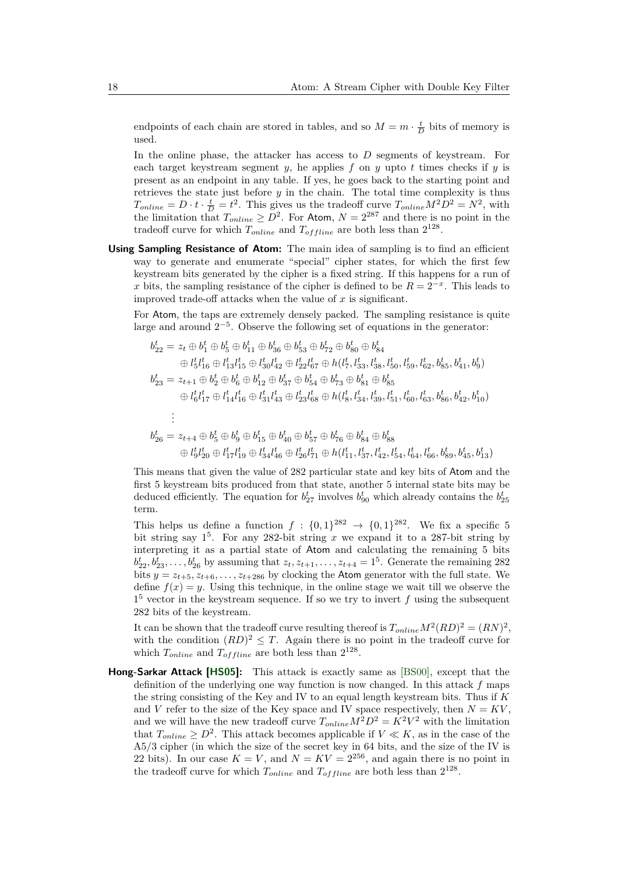endpoints of each chain are stored in tables, and so  $M = m \cdot \frac{t}{D}$  bits of memory is used.

In the online phase, the attacker has access to *D* segments of keystream. For each target keystream segment  $y$ , he applies  $f$  on  $y$  upto  $t$  times checks if  $y$  is present as an endpoint in any table. If yes, he goes back to the starting point and retrieves the state just before *y* in the chain. The total time complexity is thus  $T_{online} = D \cdot t \cdot \frac{t}{D} = t^2$ . This gives us the tradeoff curve  $T_{online} M^2 D^2 = N^2$ , with the limitation that  $T_{online} \geq D^2$ . For Atom,  $N = 2^{287}$  and there is no point in the tradeoff curve for which  $T_{online}$  and  $T_{offline}$  are both less than  $2^{128}$ .

**Using Sampling Resistance of Atom:** The main idea of sampling is to find an efficient way to generate and enumerate "special" cipher states, for which the first few keystream bits generated by the cipher is a fixed string. If this happens for a run of *x* bits, the sampling resistance of the cipher is defined to be  $R = 2^{-x}$ . This leads to improved trade-off attacks when the value of *x* is significant.

For Atom, the taps are extremely densely packed. The sampling resistance is quite large and around 2−<sup>5</sup> . Observe the following set of equations in the generator:

$$
b_{22}^{t} = z_{t} \oplus b_{1}^{t} \oplus b_{5}^{t} \oplus b_{11}^{t} \oplus b_{36}^{t} \oplus b_{53}^{t} \oplus b_{72}^{t} \oplus b_{80}^{t} \oplus b_{84}^{t}
$$
  
\n
$$
\oplus l_{5}^{t}l_{16}^{t} \oplus l_{13}^{t}l_{15}^{t} \oplus l_{30}^{t}l_{42}^{t} \oplus l_{22}^{t}l_{67}^{t} \oplus h(l_{7}^{t}, l_{33}^{t}, l_{38}^{t}, l_{50}^{t}, l_{59}^{t}, l_{62}^{t}, b_{85}^{t}, b_{41}^{t}, b_{9}^{t})
$$
  
\n
$$
b_{23}^{t} = z_{t+1} \oplus b_{2}^{t} \oplus b_{6}^{t} \oplus b_{12}^{t} \oplus b_{37}^{t} \oplus b_{54}^{t} \oplus b_{73}^{t} \oplus b_{81}^{t} \oplus b_{85}^{t}
$$
  
\n
$$
\oplus l_{6}^{t}l_{17}^{t} \oplus l_{14}^{t}l_{16}^{t} \oplus l_{31}^{t}l_{43}^{t} \oplus l_{23}^{t}l_{68}^{t} \oplus h(l_{8}^{t}, l_{34}^{t}, l_{39}^{t}, l_{51}^{t}, l_{60}^{t}, l_{63}^{t}, b_{86}^{t}, b_{42}^{t}, b_{10}^{t})
$$
  
\n
$$
\vdots
$$
  
\n
$$
b_{26}^{t} = z_{t+4} \oplus b_{5}^{t} \oplus b_{9}^{t} \oplus b_{15}^{t} \oplus b_{40}^{t} \oplus b_{57}^{t} \oplus b_{76}^{t} \oplus b_{84}^{t} \oplus b_{88}^{t}
$$

$$
{}\quad \oplus\ l_9^t l_{20}^t\oplus l_{17}^t l_{19}^t\oplus l_{34}^t l_{46}^t\oplus l_{26}^t l_{71}^t\oplus h(l_{11}^t,l_{37}^t,l_{42}^t,l_{54}^t,l_{64}^t,l_{66}^t,b_{89}^t,b_{45}^t,b_{13}^t)
$$

This means that given the value of 282 particular state and key bits of Atom and the first 5 keystream bits produced from that state, another 5 internal state bits may be deduced efficiently. The equation for  $b_{27}^t$  involves  $b_{90}^t$  which already contains the  $b_{25}^t$ term.

This helps us define a function  $f : \{0,1\}^{282} \rightarrow \{0,1\}^{282}$ . We fix a specific 5 bit string say  $1^5$ . For any 282-bit string x we expand it to a 287-bit string by interpreting it as a partial state of Atom and calculating the remaining 5 bits  $b_{22}^t, b_{23}^t, \ldots, b_{26}^t$  by assuming that  $z_t, z_{t+1}, \ldots, z_{t+4} = 1^5$ . Generate the remaining 282 bits  $y = z_{t+5}, z_{t+6}, \ldots, z_{t+286}$  by clocking the Atom generator with the full state. We define  $f(x) = y$ . Using this technique, in the online stage we wait till we observe the  $1<sup>5</sup>$  vector in the keystream sequence. If so we try to invert  $f$  using the subsequent 282 bits of the keystream.

It can be shown that the tradeoff curve resulting thereof is  $T_{online}M^2(RD)^2 = (RN)^2$ , with the condition  $(RD)^2 \leq T$ . Again there is no point in the tradeoff curve for which  $T_{online}$  and  $T_{offline}$  are both less than  $2^{128}$ .

**Hong-Sarkar Attack [HS05]:** This attack is exactly same as [BS00], except that the definition of the underlying one way function is now changed. In this attack *f* maps the string consisting of the Key and IV to an equal length keystream bits. Thus if *K* and *V* refer to the size of the Key space and IV space respectively, then  $N = KV$ . and we will have the new tradeoff curve  $T_{online}M^2D^2 = K^2V^2$  with the limitation that  $T_{online} \geq D^2$ . This attack becomes applicable if  $V \ll K$ , as in the case of the A5/3 cipher (in which the size of the secret key in 64 bits, and the size of the IV is 22 bits). In our case  $K = V$ , and  $N = KV = 2^{256}$ , and again there is no point in the tradeoff curve for which  $T_{online}$  and  $T_{offline}$  are both less than  $2^{128}$ .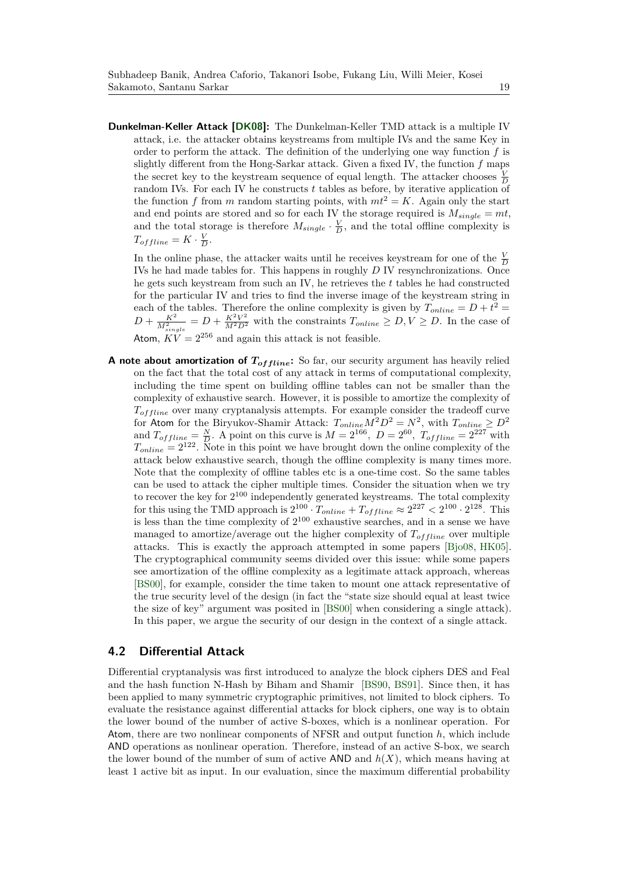**Dunkelman-Keller Attack [DK08]:** The Dunkelman-Keller TMD attack is a multiple IV attack, i.e. the attacker obtains keystreams from multiple IVs and the same Key in order to perform the attack. The definition of the underlying one way function *f* is slightly different from the Hong-Sarkar attack. Given a fixed IV, the function *f* maps the secret key to the keystream sequence of equal length. The attacker chooses  $\frac{V}{D}$ random IVs. For each IV he constructs *t* tables as before, by iterative application of the function *f* from *m* random starting points, with  $mt^2 = K$ . Again only the start and end points are stored and so for each IV the storage required is  $M_{single} = mt$ , and the total storage is therefore  $M_{single} \cdot \frac{V}{D}$ , and the total offline complexity is  $T_{offline} = K \cdot \frac{V}{D}$ .

In the online phase, the attacker waits until he receives keystream for one of the  $\frac{V}{D}$ IVs he had made tables for. This happens in roughly *D* IV resynchronizations. Once he gets such keystream from such an IV, he retrieves the *t* tables he had constructed for the particular IV and tries to find the inverse image of the keystream string in each of the tables. Therefore the online complexity is given by  $T_{online} = D + t^2$  $D + \frac{K^2}{M_{single}^2} = D + \frac{K^2 V^2}{M^2 D^2}$  with the constraints  $T_{online} \ge D, V \ge D$ . In the case of Atom,  $KV = 2^{256}$  and again this attack is not feasible.

A note about amortization of  $T_{offline}$ : So far, our security argument has heavily relied on the fact that the total cost of any attack in terms of computational complexity, including the time spent on building offline tables can not be smaller than the complexity of exhaustive search. However, it is possible to amortize the complexity of  $T_{of \, line}$  over many cryptanalysis attempts. For example consider the tradeoff curve for Atom for the Biryukov-Shamir Attack:  $T_{online}M^2D^2 = N^2$ , with  $T_{online} \geq D^2$ and  $T_{offline} = \frac{N}{D}$ . A point on this curve is  $M = 2^{166}$ ,  $D = 2^{60}$ ,  $T_{offline} = 2^{227}$  with  $T_{online} = 2^{122}$ . Note in this point we have brought down the online complexity of the attack below exhaustive search, though the offline complexity is many times more. Note that the complexity of offline tables etc is a one-time cost. So the same tables can be used to attack the cipher multiple times. Consider the situation when we try to recover the key for  $2^{100}$  independently generated keystreams. The total complexity for this using the TMD approach is  $2^{100} \cdot T_{online} + T_{offline} \approx 2^{227} < 2^{100} \cdot 2^{128}$ . This is less than the time complexity of  $2^{100}$  exhaustive searches, and in a sense we have managed to amortize/average out the higher complexity of  $T_{offline}$  over multiple attacks. This is exactly the approach attempted in some papers [Bjo08, HK05]. The cryptographical community seems divided over this issue: while some papers see amortization of the offline complexity as a legitimate attack approach, whereas [BS00], for example, consider the time taken to mount one attack representative of the true security level of the design (in fact the "state size should equal at least twice the size of key" argument was posited in [BS00] when considering a single attack). In this paper, we argue the security of our design in the context of a single attack.

#### **4.2 Differential Attack**

Differential cryptanalysis was first introduced to analyze the block ciphers DES and Feal and the hash function N-Hash by Biham and Shamir [BS90, BS91]. Since then, it has been applied to many symmetric cryptographic primitives, not limited to block ciphers. To evaluate the resistance against differential attacks for block ciphers, one way is to obtain the lower bound of the number of active S-boxes, which is a nonlinear operation. For Atom, there are two nonlinear components of NFSR and output function *h*, which include AND operations as nonlinear operation. Therefore, instead of an active S-box, we search the lower bound of the number of sum of active  $AND$  and  $h(X)$ , which means having at least 1 active bit as input. In our evaluation, since the maximum differential probability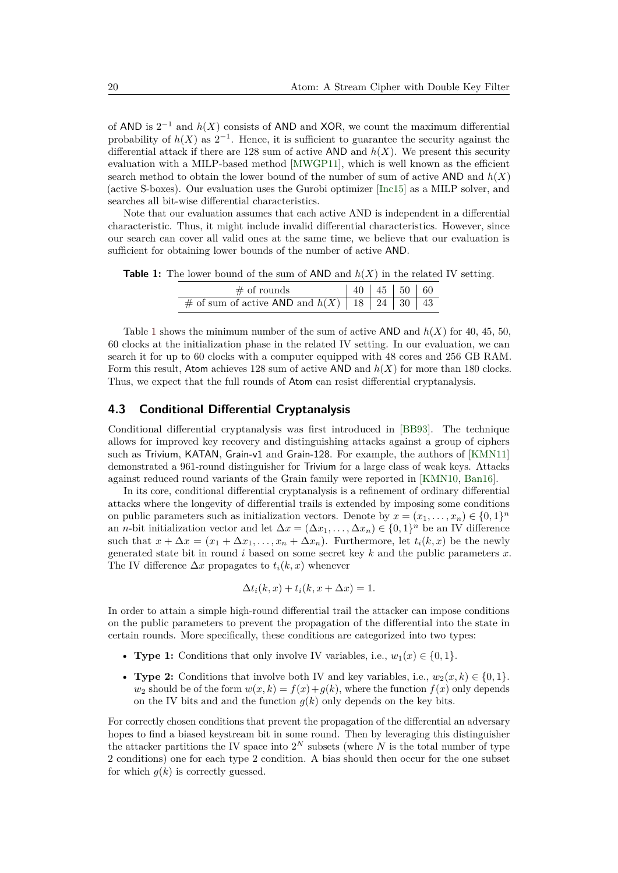of AND is 2<sup>−</sup><sup>1</sup> and *h*(*X*) consists of AND and XOR, we count the maximum differential probability of  $h(X)$  as  $2^{-1}$ . Hence, it is sufficient to guarantee the security against the differential attack if there are 128 sum of active AND and  $h(X)$ . We present this security evaluation with a MILP-based method [MWGP11], which is well known as the efficient search method to obtain the lower bound of the number of sum of active  $AND$  and  $h(X)$ (active S-boxes). Our evaluation uses the Gurobi optimizer [Inc15] as a MILP solver, and searches all bit-wise differential characteristics.

Note that our evaluation assumes that each active AND is independent in a differential characteristic. Thus, it might include invalid differential characteristics. However, since our search can cover all valid ones at the same time, we believe that our evaluation is sufficient for obtaining lower bounds of the number of active AND.

**Table 1:** The lower bound of the sum of AND and *h*(*X*) in the related IV setting.

| $\#$ of rounds                                        |  | 40   45   50   60 |  |
|-------------------------------------------------------|--|-------------------|--|
| # of sum of active AND and $h(X)$   18   24   30   43 |  |                   |  |

Table 1 shows the minimum number of the sum of active AND and  $h(X)$  for 40, 45, 50, 60 clocks at the initialization phase in the related IV setting. In our evaluation, we can search it for up to 60 clocks with a computer equipped with 48 cores and 256 GB RAM. Form this result, Atom achieves 128 sum of active AND and *h*(*X*) for more than 180 clocks. Thus, we expect that the full rounds of Atom can resist differential cryptanalysis.

#### **4.3 Conditional Differential Cryptanalysis**

Conditional differential cryptanalysis was first introduced in [BB93]. The technique allows for improved key recovery and distinguishing attacks against a group of ciphers such as Trivium, KATAN, Grain-v1 and Grain-128. For example, the authors of [KMN11] demonstrated a 961-round distinguisher for Trivium for a large class of weak keys. Attacks against reduced round variants of the Grain family were reported in [KMN10, Ban16].

In its core, conditional differential cryptanalysis is a refinement of ordinary differential attacks where the longevity of differential trails is extended by imposing some conditions on public parameters such as initialization vectors. Denote by  $x = (x_1, \ldots, x_n) \in \{0, 1\}^n$ an *n*-bit initialization vector and let  $\Delta x = (\Delta x_1, \dots, \Delta x_n) \in \{0, 1\}^n$  be an IV difference such that  $x + \Delta x = (x_1 + \Delta x_1, \ldots, x_n + \Delta x_n)$ . Furthermore, let  $t_i(k, x)$  be the newly generated state bit in round *i* based on some secret key *k* and the public parameters *x*. The IV difference  $\Delta x$  propagates to  $t_i(k, x)$  whenever

$$
\Delta t_i(k, x) + t_i(k, x + \Delta x) = 1.
$$

In order to attain a simple high-round differential trail the attacker can impose conditions on the public parameters to prevent the propagation of the differential into the state in certain rounds. More specifically, these conditions are categorized into two types:

- **Type 1:** Conditions that only involve IV variables, i.e.,  $w_1(x) \in \{0, 1\}$ .
- **Type 2:** Conditions that involve both IV and key variables, i.e.,  $w_2(x, k) \in \{0, 1\}$ .  $w_2$  should be of the form  $w(x, k) = f(x) + q(k)$ , where the function  $f(x)$  only depends on the IV bits and and the function  $q(k)$  only depends on the key bits.

For correctly chosen conditions that prevent the propagation of the differential an adversary hopes to find a biased keystream bit in some round. Then by leveraging this distinguisher the attacker partitions the IV space into  $2^N$  subsets (where  $N$  is the total number of type 2 conditions) one for each type 2 condition. A bias should then occur for the one subset for which  $q(k)$  is correctly guessed.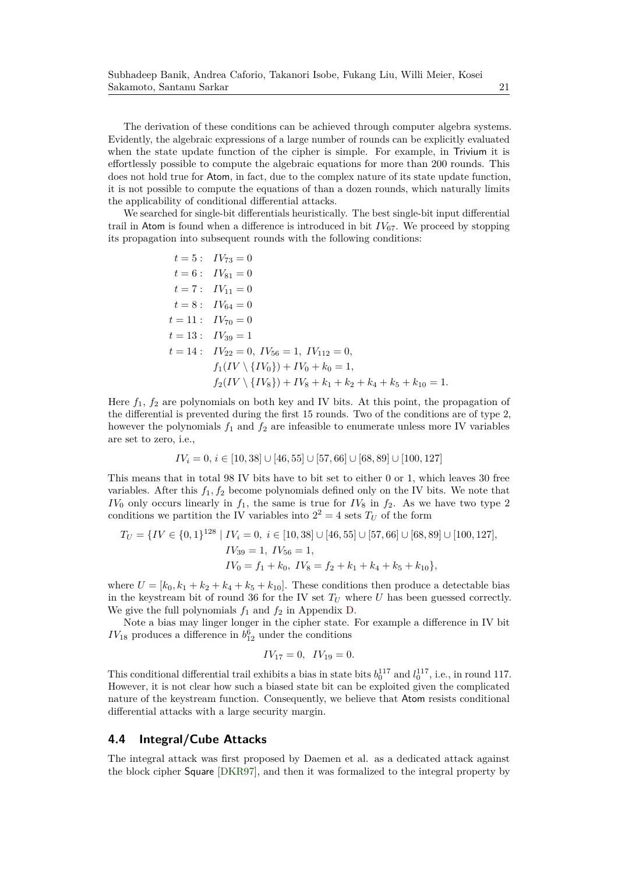The derivation of these conditions can be achieved through computer algebra systems. Evidently, the algebraic expressions of a large number of rounds can be explicitly evaluated when the state update function of the cipher is simple. For example, in Trivium it is effortlessly possible to compute the algebraic equations for more than 200 rounds. This does not hold true for Atom, in fact, due to the complex nature of its state update function, it is not possible to compute the equations of than a dozen rounds, which naturally limits the applicability of conditional differential attacks.

We searched for single-bit differentials heuristically. The best single-bit input differential trail in Atom is found when a difference is introduced in bit  $IV_{67}$ . We proceed by stopping its propagation into subsequent rounds with the following conditions:

$$
t = 5: \quad IV_{73} = 0
$$
  
\n
$$
t = 6: \quad IV_{81} = 0
$$
  
\n
$$
t = 7: \quad IV_{11} = 0
$$
  
\n
$$
t = 8: \quad IV_{64} = 0
$$
  
\n
$$
t = 11: \quad IV_{70} = 0
$$
  
\n
$$
t = 13: \quad IV_{39} = 1
$$
  
\n
$$
t = 14: \quad IV_{22} = 0, \quad IV_{56} = 1, \quad IV_{112} = 0,
$$
  
\n
$$
f_1(IV \setminus \{IV_0\}) + IV_0 + k_0 = 1,
$$
  
\n
$$
f_2(IV \setminus \{IV_8\}) + IV_8 + k_1 + k_2 + k_4 + k_5 + k_{10} = 1.
$$

Here  $f_1$ ,  $f_2$  are polynomials on both key and IV bits. At this point, the propagation of the differential is prevented during the first 15 rounds. Two of the conditions are of type 2, however the polynomials  $f_1$  and  $f_2$  are infeasible to enumerate unless more IV variables are set to zero, i.e.,

$$
IV_i = 0, i \in [10, 38] \cup [46, 55] \cup [57, 66] \cup [68, 89] \cup [100, 127]
$$

This means that in total 98 IV bits have to bit set to either 0 or 1, which leaves 30 free variables. After this  $f_1, f_2$  become polynomials defined only on the IV bits. We note that  $IV_0$  only occurs linearly in  $f_1$ , the same is true for  $IV_8$  in  $f_2$ . As we have two type 2 conditions we partition the IV variables into  $2^2 = 4$  sets  $T_U$  of the form

$$
T_U = \{ IV \in \{0, 1\}^{128} \mid IV_i = 0, \ i \in [10, 38] \cup [46, 55] \cup [57, 66] \cup [68, 89] \cup [100, 127],
$$
  
\n
$$
IV_{39} = 1, \ IV_{56} = 1,
$$
  
\n
$$
IV_0 = f_1 + k_0, \ IV_8 = f_2 + k_1 + k_4 + k_5 + k_{10} \},
$$

where  $U = [k_0, k_1 + k_2 + k_4 + k_5 + k_{10}]$ . These conditions then produce a detectable bias in the keystream bit of round 36 for the IV set  $T_U$  where  $U$  has been guessed correctly. We give the full polynomials  $f_1$  and  $f_2$  in Appendix D.

Note a bias may linger longer in the cipher state. For example a difference in IV bit  $IV_{18}$  produces a difference in  $b_{12}^6$  under the conditions

$$
IV_{17} = 0, \quad IV_{19} = 0.
$$

This conditional differential trail exhibits a bias in state bits  $b_0^{117}$  and  $l_0^{117}$ , i.e., in round 117. However, it is not clear how such a biased state bit can be exploited given the complicated nature of the keystream function. Consequently, we believe that Atom resists conditional differential attacks with a large security margin.

#### **4.4 Integral/Cube Attacks**

The integral attack was first proposed by Daemen et al. as a dedicated attack against the block cipher Square [DKR97], and then it was formalized to the integral property by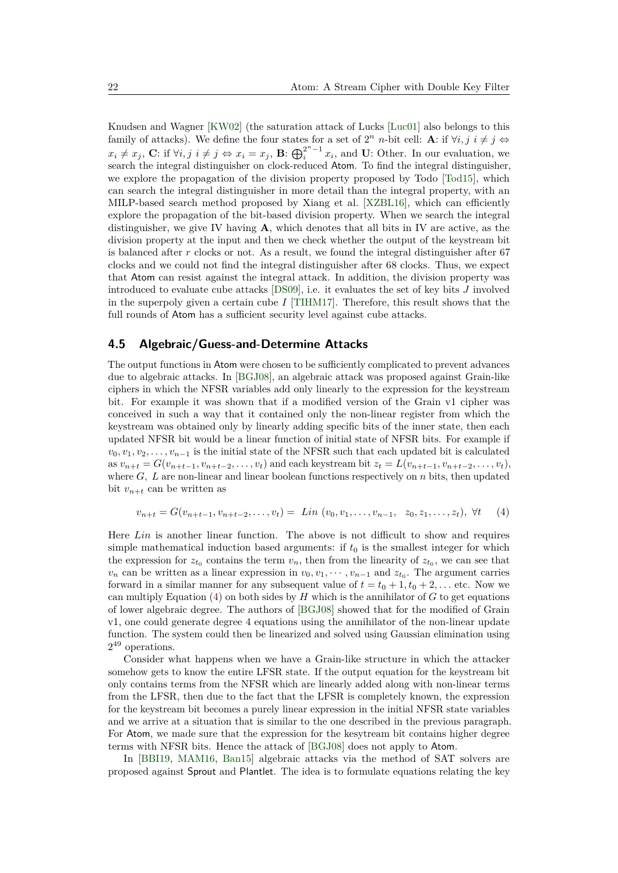Knudsen and Wagner [KW02] (the saturation attack of Lucks [Luc01] also belongs to this family of attacks). We define the four states for a set of  $2^n$  *n*-bit cell: **A**: if  $\forall i, j \in \mathcal{j} \Leftrightarrow$  $x_i \neq x_j$ , **C**: if  $\forall i, j \ i \neq j \Leftrightarrow x_i = x_j$ , **B**:  $\bigoplus_i^{2^n-1} x_i$ , and **U**: Other. In our evaluation, we search the integral distinguisher on clock-reduced Atom. To find the integral distinguisher, we explore the propagation of the division property proposed by Todo [Tod15], which can search the integral distinguisher in more detail than the integral property, with an MILP-based search method proposed by Xiang et al. [XZBL16], which can efficiently explore the propagation of the bit-based division property. When we search the integral distinguisher, we give IV having **A**, which denotes that all bits in IV are active, as the division property at the input and then we check whether the output of the keystream bit is balanced after *r* clocks or not. As a result, we found the integral distinguisher after 67 clocks and we could not find the integral distinguisher after 68 clocks. Thus, we expect that Atom can resist against the integral attack. In addition, the division property was introduced to evaluate cube attacks [DS09], i.e. it evaluates the set of key bits *J* involved in the superpoly given a certain cube *I* [TIHM17]. Therefore, this result shows that the full rounds of Atom has a sufficient security level against cube attacks.

#### **4.5 Algebraic/Guess-and-Determine Attacks**

The output functions in Atom were chosen to be sufficiently complicated to prevent advances due to algebraic attacks. In [BGJ08], an algebraic attack was proposed against Grain-like ciphers in which the NFSR variables add only linearly to the expression for the keystream bit. For example it was shown that if a modified version of the Grain v1 cipher was conceived in such a way that it contained only the non-linear register from which the keystream was obtained only by linearly adding specific bits of the inner state, then each updated NFSR bit would be a linear function of initial state of NFSR bits. For example if  $v_0, v_1, v_2, \ldots, v_{n-1}$  is the initial state of the NFSR such that each updated bit is calculated as  $v_{n+t} = G(v_{n+t-1}, v_{n+t-2}, \ldots, v_t)$  and each keystream bit  $z_t = L(v_{n+t-1}, v_{n+t-2}, \ldots, v_t)$ , where *G, L* are non-linear and linear boolean functions respectively on *n* bits, then updated bit  $v_{n+t}$  can be written as

$$
v_{n+t} = G(v_{n+t-1}, v_{n+t-2}, \dots, v_t) = \operatorname{Lin}(v_0, v_1, \dots, v_{n-1}, z_0, z_1, \dots, z_t), \forall t \tag{4}
$$

Here *Lin* is another linear function. The above is not difficult to show and requires simple mathematical induction based arguments: if  $t_0$  is the smallest integer for which the expression for  $z_{t_0}$  contains the term  $v_n$ , then from the linearity of  $z_{t_0}$ , we can see that  $v_n$  can be written as a linear expression in  $v_0, v_1, \dots, v_{n-1}$  and  $z_{t_0}$ . The argument carries forward in a similar manner for any subsequent value of  $t = t_0 + 1, t_0 + 2, \ldots$  etc. Now we can multiply Equation  $(4)$  on both sides by *H* which is the annihilator of *G* to get equations of lower algebraic degree. The authors of [BGJ08] showed that for the modified of Grain v1, one could generate degree 4 equations using the annihilator of the non-linear update function. The system could then be linearized and solved using Gaussian elimination using 2 <sup>49</sup> operations.

Consider what happens when we have a Grain-like structure in which the attacker somehow gets to know the entire LFSR state. If the output equation for the keystream bit only contains terms from the NFSR which are linearly added along with non-linear terms from the LFSR, then due to the fact that the LFSR is completely known, the expression for the keystream bit becomes a purely linear expression in the initial NFSR state variables and we arrive at a situation that is similar to the one described in the previous paragraph. For Atom, we made sure that the expression for the kesytream bit contains higher degree terms with NFSR bits. Hence the attack of [BGJ08] does not apply to Atom.

In [BBI19, MAM16, Ban15] algebraic attacks via the method of SAT solvers are proposed against Sprout and Plantlet. The idea is to formulate equations relating the key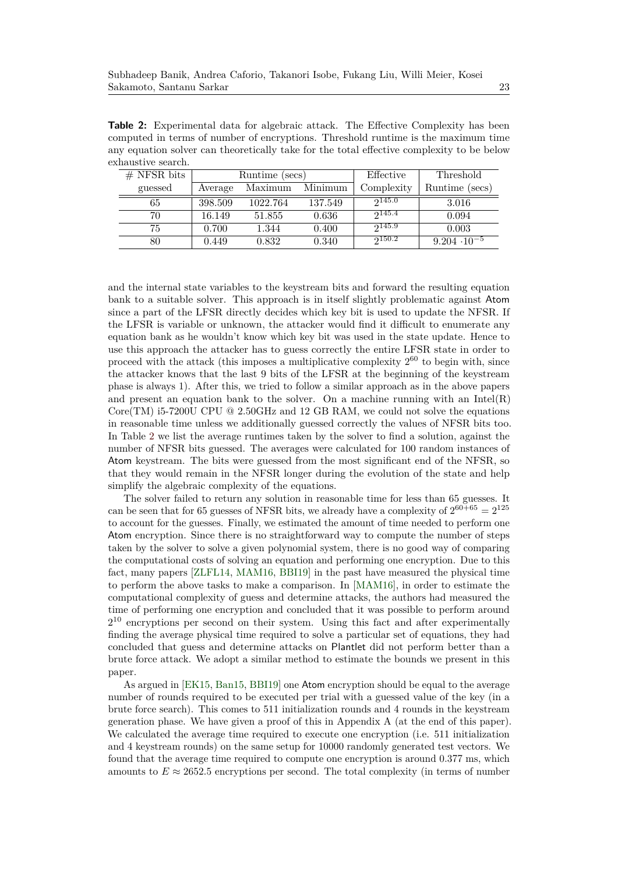**Table 2:** Experimental data for algebraic attack. The Effective Complexity has been computed in terms of number of encryptions. Threshold runtime is the maximum time any equation solver can theoretically take for the total effective complexity to be below exhaustive search.

| $#$ NFSR bits |         | Runtime (secs) |         | Effective   | Threshold             |  |  |
|---------------|---------|----------------|---------|-------------|-----------------------|--|--|
| guessed       | Average | Maximum        | Minimum | Complexity  | Runtime (secs)        |  |  |
| 65            | 398.509 | 1022.764       | 137.549 | 2145.0      | 3.016                 |  |  |
| 70            | 16.149  | 51.855         | 0.636   | 2145.4      | 0.094                 |  |  |
| 75            | 0.700   | 1.344          | 0.400   | 2145.9      | 0.003                 |  |  |
| 80            | 0.449   | 0.832          | 0.340   | $2^{150.2}$ | $9.204 \cdot 10^{-5}$ |  |  |

and the internal state variables to the keystream bits and forward the resulting equation bank to a suitable solver. This approach is in itself slightly problematic against Atom since a part of the LFSR directly decides which key bit is used to update the NFSR. If the LFSR is variable or unknown, the attacker would find it difficult to enumerate any equation bank as he wouldn't know which key bit was used in the state update. Hence to use this approach the attacker has to guess correctly the entire LFSR state in order to proceed with the attack (this imposes a multiplicative complexity  $2^{60}$  to begin with, since the attacker knows that the last 9 bits of the LFSR at the beginning of the keystream phase is always 1). After this, we tried to follow a similar approach as in the above papers and present an equation bank to the solver. On a machine running with an Intel(R) Core(TM) i5-7200U CPU  $@$  2.50GHz and 12 GB RAM, we could not solve the equations in reasonable time unless we additionally guessed correctly the values of NFSR bits too. In Table 2 we list the average runtimes taken by the solver to find a solution, against the number of NFSR bits guessed. The averages were calculated for 100 random instances of Atom keystream. The bits were guessed from the most significant end of the NFSR, so that they would remain in the NFSR longer during the evolution of the state and help simplify the algebraic complexity of the equations.

The solver failed to return any solution in reasonable time for less than 65 guesses. It can be seen that for 65 guesses of NFSR bits, we already have a complexity of  $2^{60+65} = 2^{125}$ to account for the guesses. Finally, we estimated the amount of time needed to perform one Atom encryption. Since there is no straightforward way to compute the number of steps taken by the solver to solve a given polynomial system, there is no good way of comparing the computational costs of solving an equation and performing one encryption. Due to this fact, many papers [ZLFL14, MAM16, BBI19] in the past have measured the physical time to perform the above tasks to make a comparison. In [MAM16], in order to estimate the computational complexity of guess and determine attacks, the authors had measured the time of performing one encryption and concluded that it was possible to perform around  $2^{10}$  encryptions per second on their system. Using this fact and after experimentally finding the average physical time required to solve a particular set of equations, they had concluded that guess and determine attacks on Plantlet did not perform better than a brute force attack. We adopt a similar method to estimate the bounds we present in this paper.

As argued in [EK15, Ban15, BBI19] one Atom encryption should be equal to the average number of rounds required to be executed per trial with a guessed value of the key (in a brute force search). This comes to 511 initialization rounds and 4 rounds in the keystream generation phase. We have given a proof of this in Appendix A (at the end of this paper). We calculated the average time required to execute one encryption (i.e. 511 initialization and 4 keystream rounds) on the same setup for 10000 randomly generated test vectors. We found that the average time required to compute one encryption is around 0.377 ms, which amounts to  $E \approx 2652.5$  encryptions per second. The total complexity (in terms of number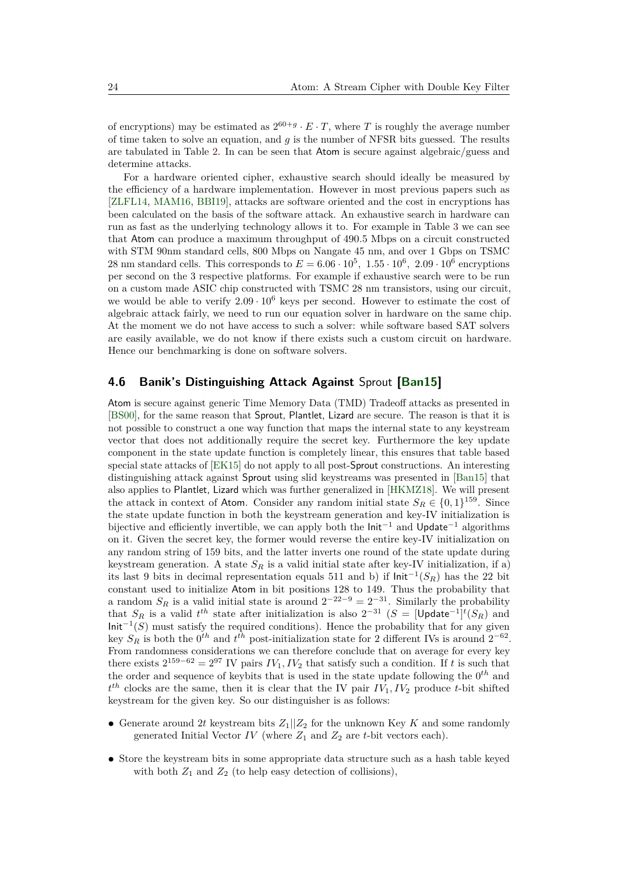of encryptions) may be estimated as  $2^{60+g} \cdot E \cdot T$ , where *T* is roughly the average number of time taken to solve an equation, and *g* is the number of NFSR bits guessed. The results are tabulated in Table 2. In can be seen that Atom is secure against algebraic/guess and determine attacks.

For a hardware oriented cipher, exhaustive search should ideally be measured by the efficiency of a hardware implementation. However in most previous papers such as [ZLFL14, MAM16, BBI19], attacks are software oriented and the cost in encryptions has been calculated on the basis of the software attack. An exhaustive search in hardware can run as fast as the underlying technology allows it to. For example in Table 3 we can see that Atom can produce a maximum throughput of 490.5 Mbps on a circuit constructed with STM 90nm standard cells, 800 Mbps on Nangate 45 nm, and over 1 Gbps on TSMC 28 nm standard cells. This corresponds to  $E = 6.06 \cdot 10^5$ ,  $1.55 \cdot 10^6$ ,  $2.09 \cdot 10^6$  encryptions per second on the 3 respective platforms. For example if exhaustive search were to be run on a custom made ASIC chip constructed with TSMC 28 nm transistors, using our circuit, we would be able to verify  $2.09 \cdot 10^6$  keys per second. However to estimate the cost of algebraic attack fairly, we need to run our equation solver in hardware on the same chip. At the moment we do not have access to such a solver: while software based SAT solvers are easily available, we do not know if there exists such a custom circuit on hardware. Hence our benchmarking is done on software solvers.

#### **4.6 Banik's Distinguishing Attack Against** Sprout **[Ban15]**

Atom is secure against generic Time Memory Data (TMD) Tradeoff attacks as presented in [BS00], for the same reason that Sprout, Plantlet, Lizard are secure. The reason is that it is not possible to construct a one way function that maps the internal state to any keystream vector that does not additionally require the secret key. Furthermore the key update component in the state update function is completely linear, this ensures that table based special state attacks of [EK15] do not apply to all post-Sprout constructions. An interesting distinguishing attack against Sprout using slid keystreams was presented in [Ban15] that also applies to Plantlet, Lizard which was further generalized in [HKMZ18]. We will present the attack in context of Atom. Consider any random initial state  $S_R \in \{0,1\}^{159}$ . Since the state update function in both the keystream generation and key-IV initialization is bijective and efficiently invertible, we can apply both the  $Init^{-1}$  and Update<sup>-1</sup> algorithms on it. Given the secret key, the former would reverse the entire key-IV initialization on any random string of 159 bits, and the latter inverts one round of the state update during keystream generation. A state  $S_R$  is a valid initial state after key-IV initialization, if a) its last 9 bits in decimal representation equals 511 and b) if  $\text{Init}^{-1}(S_R)$  has the 22 bit constant used to initialize Atom in bit positions 128 to 149. Thus the probability that a random  $S_R$  is a valid initial state is around  $2^{-22-9} = 2^{-31}$ . Similarly the probability that  $S_R$  is a valid  $t^{th}$  state after initialization is also  $2^{-31}$  ( $S =$  [Update<sup>-1</sup>]<sup>*t*</sup>( $S_R$ ) and  $Init^{-1}(S)$  must satisfy the required conditions). Hence the probability that for any given key  $S_R$  is both the  $0^{th}$  and  $t^{th}$  post-initialization state for 2 different IVs is around  $2^{-62}$ . From randomness considerations we can therefore conclude that on average for every key there exists  $2^{159-62} = 2^{97}$  IV pairs  $IV_1, IV_2$  that satisfy such a condition. If *t* is such that the order and sequence of keybits that is used in the state update following the 0*th* and  $t^{th}$  clocks are the same, then it is clear that the IV pair  $IV_1, IV_2$  produce *t*-bit shifted keystream for the given key. So our distinguisher is as follows:

- Generate around 2t keystream bits  $Z_1||Z_2$  for the unknown Key K and some randomly generated Initial Vector  $IV$  (where  $Z_1$  and  $Z_2$  are  $t$ -bit vectors each).
- **•** Store the keystream bits in some appropriate data structure such as a hash table keyed with both  $Z_1$  and  $Z_2$  (to help easy detection of collisions),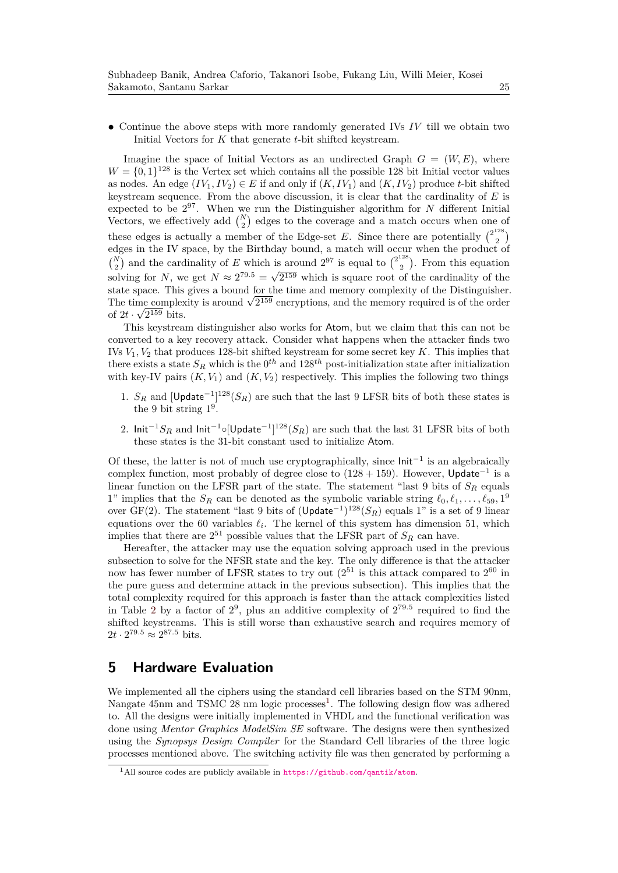**•** Continue the above steps with more randomly generated IVs *IV* till we obtain two Initial Vectors for *K* that generate *t*-bit shifted keystream.

Imagine the space of Initial Vectors as an undirected Graph  $G = (W, E)$ , where  $W = \{0, 1\}^{128}$  is the Vertex set which contains all the possible 128 bit Initial vector values as nodes. An edge  $(IV_1, IV_2) \in E$  if and only if  $(K, IV_1)$  and  $(K, IV_2)$  produce *t*-bit shifted keystream sequence. From the above discussion, it is clear that the cardinality of *E* is expected to be 2<sup>97</sup>. When we run the Distinguisher algorithm for *N* different Initial Vectors, we effectively add  $\binom{N}{2}$  edges to the coverage and a match occurs when one of these edges is actually a member of the Edge-set E. Since there are potentially  $\binom{2^{128}}{2}$  $\binom{120}{2}$ edges in the IV space, by the Birthday bound, a match will occur when the product of  $\binom{N}{2}$  and the cardinality of *E* which is around 2<sup>97</sup> is equal to  $\binom{2^{128}}{2}$  $\binom{120}{2}$ . From this equation solving for *N*, we get  $N \approx 2^{79.5} = \sqrt{2^{159}}$  which is square root of the cardinality of the state space. This gives a bound for the time and memory complexity of the Distinguisher. The time complexity is around  $\sqrt{2^{159}}$  encryptions, and the memory required is of the order of  $2t \cdot \sqrt{2^{159}}$  bits.

This keystream distinguisher also works for Atom, but we claim that this can not be converted to a key recovery attack. Consider what happens when the attacker finds two IVs  $V_1, V_2$  that produces 128-bit shifted keystream for some secret key  $K$ . This implies that there exists a state  $S_R$  which is the  $0^{th}$  and  $128^{th}$  post-initialization state after initialization with key-IV pairs  $(K, V_1)$  and  $(K, V_2)$  respectively. This implies the following two things

- 1.  $S_R$  and [Update<sup>-1</sup>]<sup>128</sup>( $S_R$ ) are such that the last 9 LFSR bits of both these states is the 9 bit string  $1^9$ .
- 2. Init<sup>-1</sup>S<sub>R</sub> and Init<sup>-1</sup>○[Update<sup>-1</sup>]<sup>128</sup>(S<sub>R</sub>) are such that the last 31 LFSR bits of both these states is the 31-bit constant used to initialize Atom.

Of these, the latter is not of much use cryptographically, since  $Init^{-1}$  is an algebraically complex function, most probably of degree close to  $(128 + 159)$ . However, Update<sup>-1</sup> is a linear function on the LFSR part of the state. The statement "last 9 bits of *S<sup>R</sup>* equals 1" implies that the  $S_R$  can be denoted as the symbolic variable string  $\ell_0, \ell_1, \ldots, \ell_{59}, 1^9$ over GF(2). The statement "last 9 bits of (Update−<sup>1</sup> ) <sup>128</sup>(*SR*) equals 1" is a set of 9 linear equations over the 60 variables  $\ell_i$ . The kernel of this system has dimension 51, which implies that there are  $2^{51}$  possible values that the LFSR part of  $S_R$  can have.

Hereafter, the attacker may use the equation solving approach used in the previous subsection to solve for the NFSR state and the key. The only difference is that the attacker now has fewer number of LFSR states to try out  $(2^{51}$  is this attack compared to  $2^{60}$  in the pure guess and determine attack in the previous subsection). This implies that the total complexity required for this approach is faster than the attack complexities listed in Table 2 by a factor of  $2^9$ , plus an additive complexity of  $2^{79.5}$  required to find the shifted keystreams. This is still worse than exhaustive search and requires memory of  $2t \cdot 2^{79.5} \approx 2^{87.5}$  bits.

## **5 Hardware Evaluation**

We implemented all the ciphers using the standard cell libraries based on the STM 90nm, Nangate 45nm and TSMC 28 nm logic processes<sup>1</sup>. The following design flow was adhered to. All the designs were initially implemented in VHDL and the functional verification was done using *Mentor Graphics ModelSim SE* software. The designs were then synthesized using the *Synopsys Design Compiler* for the Standard Cell libraries of the three logic processes mentioned above. The switching activity file was then generated by performing a

<sup>1</sup>All source codes are publicly available in https://github.com/qantik/atom.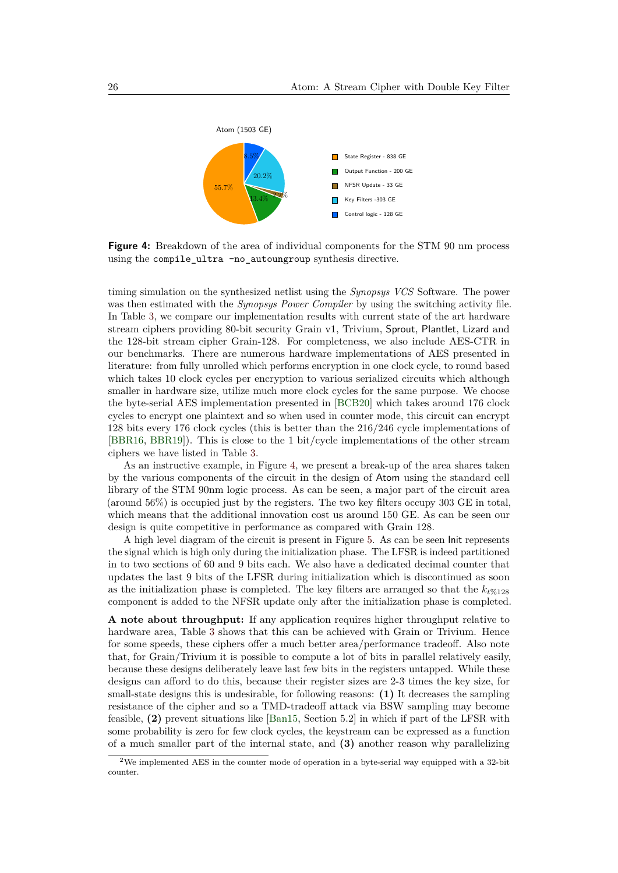

**Figure 4:** Breakdown of the area of individual components for the STM 90 nm process using the compile ultra -no autoungroup synthesis directive.

timing simulation on the synthesized netlist using the *Synopsys VCS* Software. The power was then estimated with the *Synopsys Power Compiler* by using the switching activity file. In Table 3, we compare our implementation results with current state of the art hardware stream ciphers providing 80-bit security Grain v1, Trivium, Sprout, Plantlet, Lizard and the 128-bit stream cipher Grain-128. For completeness, we also include AES-CTR in our benchmarks. There are numerous hardware implementations of AES presented in literature: from fully unrolled which performs encryption in one clock cycle, to round based which takes 10 clock cycles per encryption to various serialized circuits which although smaller in hardware size, utilize much more clock cycles for the same purpose. We choose the byte-serial AES implementation presented in [BCB20] which takes around 176 clock cycles to encrypt one plaintext and so when used in counter mode, this circuit can encrypt 128 bits every 176 clock cycles (this is better than the 216/246 cycle implementations of [BBR16, BBR19]). This is close to the 1 bit/cycle implementations of the other stream ciphers we have listed in Table 3.

As an instructive example, in Figure 4, we present a break-up of the area shares taken by the various components of the circuit in the design of Atom using the standard cell library of the STM 90nm logic process. As can be seen, a major part of the circuit area (around 56%) is occupied just by the registers. The two key filters occupy 303 GE in total, which means that the additional innovation cost us around 150 GE. As can be seen our design is quite competitive in performance as compared with Grain 128.

A high level diagram of the circuit is present in Figure 5. As can be seen Init represents the signal which is high only during the initialization phase. The LFSR is indeed partitioned in to two sections of 60 and 9 bits each. We also have a dedicated decimal counter that updates the last 9 bits of the LFSR during initialization which is discontinued as soon as the initialization phase is completed. The key filters are arranged so that the  $k_{t\%128}$ component is added to the NFSR update only after the initialization phase is completed.

**A note about throughput:** If any application requires higher throughput relative to hardware area. Table 3 shows that this can be achieved with Grain or Trivium. Hence for some speeds, these ciphers offer a much better area/performance tradeoff. Also note that, for Grain/Trivium it is possible to compute a lot of bits in parallel relatively easily, because these designs deliberately leave last few bits in the registers untapped. While these designs can afford to do this, because their register sizes are 2-3 times the key size, for small-state designs this is undesirable, for following reasons: **(1)** It decreases the sampling resistance of the cipher and so a TMD-tradeoff attack via BSW sampling may become feasible, **(2)** prevent situations like [Ban15, Section 5.2] in which if part of the LFSR with some probability is zero for few clock cycles, the keystream can be expressed as a function of a much smaller part of the internal state, and **(3)** another reason why parallelizing

<sup>2</sup>We implemented AES in the counter mode of operation in a byte-serial way equipped with a 32-bit counter.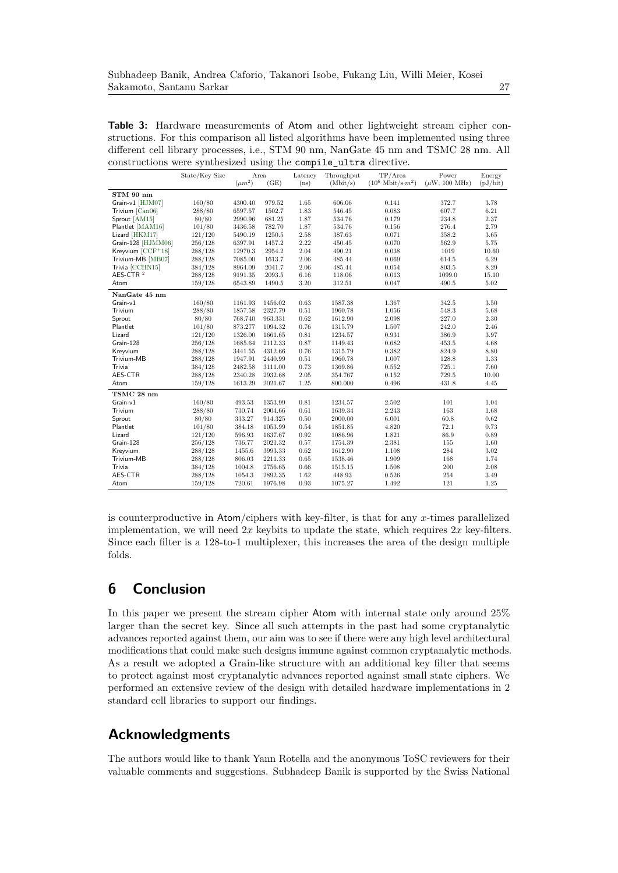**Table 3:** Hardware measurements of Atom and other lightweight stream cipher constructions. For this comparison all listed algorithms have been implemented using three different cell library processes, i.e., STM 90 nm, NanGate 45 nm and TSMC 28 nm. All constructions were synthesized using the compile\_ultra directive.

|                      |                |             | ້       |          |            |                                   |                    |          |
|----------------------|----------------|-------------|---------|----------|------------|-----------------------------------|--------------------|----------|
|                      | State/Key Size | Area        |         | Latency  | Throughput | TP/Area                           | Power              | Energy   |
|                      |                | $(\mu m^2)$ | (GE)    | (ns)     | (Mbit/s)   | $(10^6 \text{ Mbit/s} \cdot m^2)$ | $(\mu W, 100 MHz)$ | (pJ/bit) |
| STM 90 nm            |                |             |         |          |            |                                   |                    |          |
| Grain-v1 [HJM07]     | 160/80         | 4300.40     | 979.52  | 1.65     | 606.06     | 0.141                             | 372.7              | 3.78     |
| Trivium [Can06]      | 288/80         | 6597.57     | 1502.7  | 1.83     | 546.45     | 0.083                             | 607.7              | $6.21\,$ |
| Sprout [AM15]        | 80/80          | 2990.96     | 681.25  | 1.87     | 534.76     | 0.179                             | 234.8              | 2.37     |
| Plantlet [MAM16]     | 101/80         | 3436.58     | 782.70  | 1.87     | 534.76     | 0.156                             | 276.4              | 2.79     |
| Lizard [HKM17]       | 121/120        | 5490.19     | 1250.5  | 2.58     | 387.63     | 0.071                             | 358.2              | 3.65     |
| Grain-128 [HJMM06]   | 256/128        | 6397.91     | 1457.2  | 2.22     | 450.45     | 0.070                             | 562.9              | 5.75     |
| Kreyvium $[CCF+18]$  | 288/128        | 12970.3     | 2954.2  | 2.04     | 490.21     | 0.038                             | 1019               | 10.60    |
| Trivium-MB [MB07]    | 288/128        | 7085.00     | 1613.7  | 2.06     | 485.44     | 0.069                             | 614.5              | 6.29     |
| Trivia [CCHN15]      | 384/128        | 8964.09     | 2041.7  | 2.06     | 485.44     | 0.054                             | 803.5              | $8.29\,$ |
| AES-CTR <sup>2</sup> | 288/128        | 9191.35     | 2093.5  | 6.16     | 118.06     | 0.013                             | 1099.0             | 15.10    |
| Atom                 | 159/128        | 6543.89     | 1490.5  | 3.20     | 312.51     | 0.047                             | 490.5              | $5.02\,$ |
| NanGate 45 nm        |                |             |         |          |            |                                   |                    |          |
| Grain-v1             | 160/80         | 1161.93     | 1456.02 | 0.63     | 1587.38    | 1.367                             | 342.5              | 3.50     |
| Trivium              | 288/80         | 1857.58     | 2327.79 | 0.51     | 1960.78    | 1.056                             | 548.3              | 5.68     |
| Sprout               | 80/80          | 768.740     | 963.331 | 0.62     | 1612.90    | 2.098                             | 227.0              | 2.30     |
| Plantlet             | 101/80         | 873.277     | 1094.32 | 0.76     | 1315.79    | 1.507                             | 242.0              | 2.46     |
| Lizard               | 121/120        | 1326.00     | 1661.65 | 0.81     | 1234.57    | 0.931                             | 386.9              | 3.97     |
| Grain-128            | 256/128        | 1685.64     | 2112.33 | 0.87     | 1149.43    | 0.682                             | 453.5              | 4.68     |
| Kreyvium             | 288/128        | 3441.55     | 4312.66 | 0.76     | 1315.79    | 0.382                             | 824.9              | 8.80     |
| Trivium-MB           | 288/128        | 1947.91     | 2440.99 | 0.51     | 1960.78    | 1.007                             | 128.8              | 1.33     |
| Trivia               | 384/128        | 2482.58     | 3111.00 | 0.73     | 1369.86    | 0.552                             | 725.1              | 7.60     |
| AES-CTR              | 288/128        | 2340.28     | 2932.68 | $2.05\,$ | 354.767    | 0.152                             | 729.5              | 10.00    |
| Atom                 | 159/128        | 1613.29     | 2021.67 | 1.25     | 800.000    | 0.496                             | 431.8              | 4.45     |
| TSMC 28 nm           |                |             |         |          |            |                                   |                    |          |
| Grain-v1             | 160/80         | 493.53      | 1353.99 | 0.81     | 1234.57    | 2.502                             | 101                | 1.04     |
| Trivium              | 288/80         | 730.74      | 2004.66 | 0.61     | 1639.34    | 2.243                             | 163                | 1.68     |
| Sprout               | 80/80          | 333.27      | 914.325 | 0.50     | 2000.00    | 6.001                             | 60.8               | 0.62     |
| Plantlet             | 101/80         | 384.18      | 1053.99 | 0.54     | 1851.85    | 4.820                             | 72.1               | 0.73     |
| Lizard               | 121/120        | 596.93      | 1637.67 | 0.92     | 1086.96    | 1.821                             | 86.9               | 0.89     |
| Grain-128            | 256/128        | 736.77      | 2021.32 | 0.57     | 1754.39    | 2.381                             | 155                | 1.60     |
| Kreyvium             | 288/128        | 1455.6      | 3993.33 | 0.62     | 1612.90    | 1.108                             | 284                | 3.02     |
| Trivium-MB           | 288/128        | 806.03      | 2211.33 | 0.65     | 1538.46    | 1.909                             | 168                | 1.74     |
| Trivia               | 384/128        | 1004.8      | 2756.65 | $0.66\,$ | 1515.15    | 1.508                             | 200                | $2.08\,$ |
| AES-CTR              | 288/128        | 1054.3      | 2892.35 | 1.62     | 448.93     | 0.526                             | 254                | 3.49     |
| Atom                 | 159/128        | 720.61      | 1976.98 | 0.93     | 1075.27    | 1.492                             | 121                | 1.25     |

is counterproductive in Atom/ciphers with key-filter, is that for any *x*-times parallelized implementation, we will need 2*x* keybits to update the state, which requires 2*x* key-filters. Since each filter is a 128-to-1 multiplexer, this increases the area of the design multiple folds.

# **6 Conclusion**

In this paper we present the stream cipher Atom with internal state only around 25% larger than the secret key. Since all such attempts in the past had some cryptanalytic advances reported against them, our aim was to see if there were any high level architectural modifications that could make such designs immune against common cryptanalytic methods. As a result we adopted a Grain-like structure with an additional key filter that seems to protect against most cryptanalytic advances reported against small state ciphers. We performed an extensive review of the design with detailed hardware implementations in 2 standard cell libraries to support our findings.

## **Acknowledgments**

The authors would like to thank Yann Rotella and the anonymous ToSC reviewers for their valuable comments and suggestions. Subhadeep Banik is supported by the Swiss National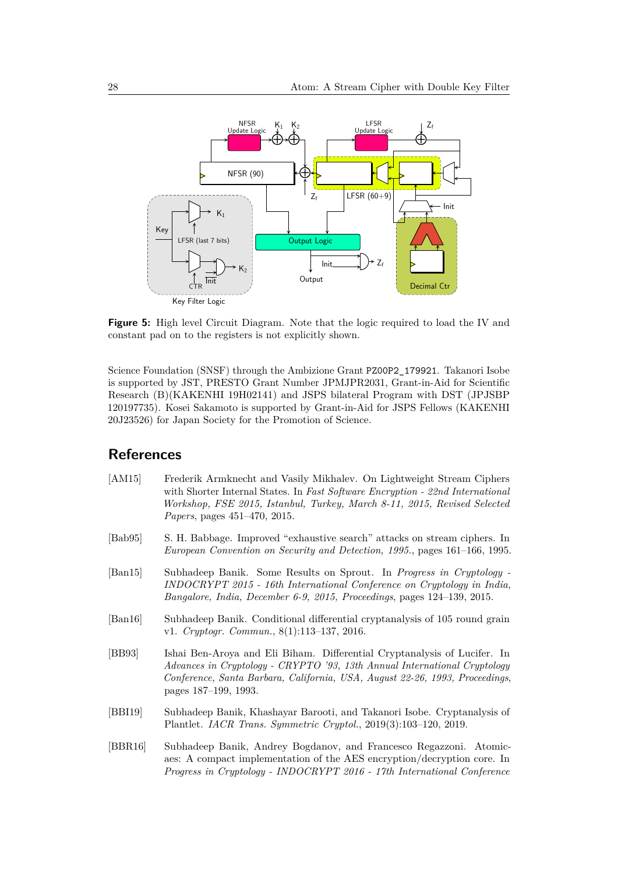

**Figure 5:** High level Circuit Diagram. Note that the logic required to load the IV and constant pad on to the registers is not explicitly shown.

Science Foundation (SNSF) through the Ambizione Grant PZ00P2\_179921. Takanori Isobe is supported by JST, PRESTO Grant Number JPMJPR2031, Grant-in-Aid for Scientific Research (B)(KAKENHI 19H02141) and JSPS bilateral Program with DST (JPJSBP 120197735). Kosei Sakamoto is supported by Grant-in-Aid for JSPS Fellows (KAKENHI 20J23526) for Japan Society for the Promotion of Science.

### **References**

- [AM15] Frederik Armknecht and Vasily Mikhalev. On Lightweight Stream Ciphers with Shorter Internal States. In *Fast Software Encryption - 22nd International Workshop, FSE 2015, Istanbul, Turkey, March 8-11, 2015, Revised Selected Papers*, pages 451–470, 2015.
- [Bab95] S. H. Babbage. Improved "exhaustive search" attacks on stream ciphers. In *European Convention on Security and Detection, 1995.*, pages 161–166, 1995.
- [Ban15] Subhadeep Banik. Some Results on Sprout. In *Progress in Cryptology - INDOCRYPT 2015 - 16th International Conference on Cryptology in India, Bangalore, India, December 6-9, 2015, Proceedings*, pages 124–139, 2015.
- [Ban16] Subhadeep Banik. Conditional differential cryptanalysis of 105 round grain v1. *Cryptogr. Commun.*, 8(1):113–137, 2016.
- [BB93] Ishai Ben-Aroya and Eli Biham. Differential Cryptanalysis of Lucifer. In *Advances in Cryptology - CRYPTO '93, 13th Annual International Cryptology Conference, Santa Barbara, California, USA, August 22-26, 1993, Proceedings*, pages 187–199, 1993.
- [BBI19] Subhadeep Banik, Khashayar Barooti, and Takanori Isobe. Cryptanalysis of Plantlet. *IACR Trans. Symmetric Cryptol.*, 2019(3):103–120, 2019.
- [BBR16] Subhadeep Banik, Andrey Bogdanov, and Francesco Regazzoni. Atomicaes: A compact implementation of the AES encryption/decryption core. In *Progress in Cryptology - INDOCRYPT 2016 - 17th International Conference*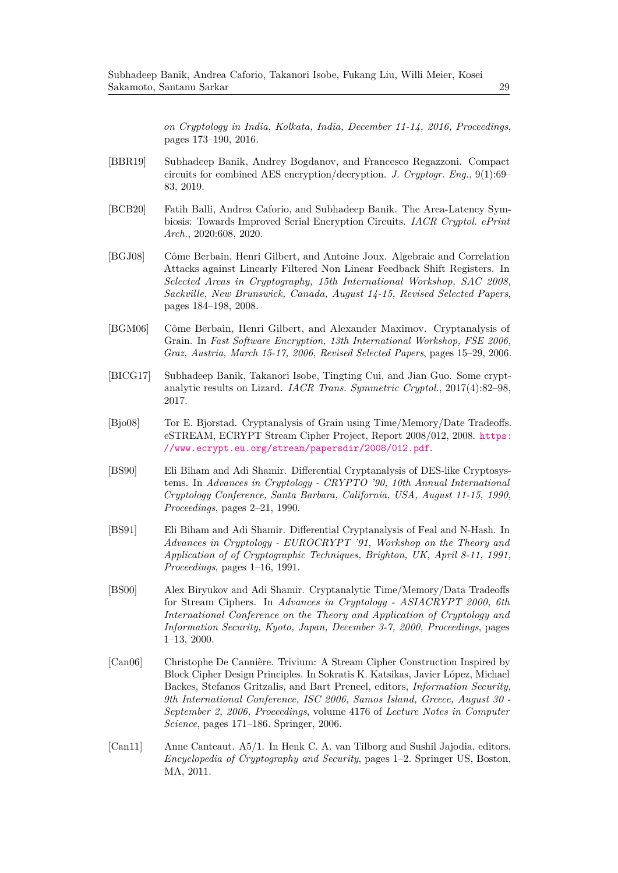*on Cryptology in India, Kolkata, India, December 11-14, 2016, Proceedings*, pages 173–190, 2016.

- [BBR19] Subhadeep Banik, Andrey Bogdanov, and Francesco Regazzoni. Compact circuits for combined AES encryption/decryption. *J. Cryptogr. Eng.*, 9(1):69– 83, 2019.
- [BCB20] Fatih Balli, Andrea Caforio, and Subhadeep Banik. The Area-Latency Symbiosis: Towards Improved Serial Encryption Circuits. *IACR Cryptol. ePrint Arch.*, 2020:608, 2020.
- [BGJ08] Côme Berbain, Henri Gilbert, and Antoine Joux. Algebraic and Correlation Attacks against Linearly Filtered Non Linear Feedback Shift Registers. In *Selected Areas in Cryptography, 15th International Workshop, SAC 2008, Sackville, New Brunswick, Canada, August 14-15, Revised Selected Papers*, pages 184–198, 2008.
- [BGM06] Côme Berbain, Henri Gilbert, and Alexander Maximov. Cryptanalysis of Grain. In *Fast Software Encryption, 13th International Workshop, FSE 2006, Graz, Austria, March 15-17, 2006, Revised Selected Papers*, pages 15–29, 2006.
- [BICG17] Subhadeep Banik, Takanori Isobe, Tingting Cui, and Jian Guo. Some cryptanalytic results on Lizard. *IACR Trans. Symmetric Cryptol.*, 2017(4):82–98, 2017.
- [Bjo08] Tor E. Bjorstad. Cryptanalysis of Grain using Time/Memory/Date Tradeoffs. eSTREAM, ECRYPT Stream Cipher Project, Report 2008/012, 2008. https: //www.ecrypt.eu.org/stream/papersdir/2008/012.pdf.
- [BS90] Eli Biham and Adi Shamir. Differential Cryptanalysis of DES-like Cryptosystems. In *Advances in Cryptology - CRYPTO '90, 10th Annual International Cryptology Conference, Santa Barbara, California, USA, August 11-15, 1990, Proceedings*, pages 2–21, 1990.
- [BS91] Eli Biham and Adi Shamir. Differential Cryptanalysis of Feal and N-Hash. In *Advances in Cryptology - EUROCRYPT '91, Workshop on the Theory and Application of of Cryptographic Techniques, Brighton, UK, April 8-11, 1991, Proceedings*, pages 1–16, 1991.
- [BS00] Alex Biryukov and Adi Shamir. Cryptanalytic Time/Memory/Data Tradeoffs for Stream Ciphers. In *Advances in Cryptology - ASIACRYPT 2000, 6th International Conference on the Theory and Application of Cryptology and Information Security, Kyoto, Japan, December 3-7, 2000, Proceedings*, pages 1–13, 2000.
- [Can06] Christophe De Cannière. Trivium: A Stream Cipher Construction Inspired by Block Cipher Design Principles. In Sokratis K. Katsikas, Javier López, Michael Backes, Stefanos Gritzalis, and Bart Preneel, editors, *Information Security, 9th International Conference, ISC 2006, Samos Island, Greece, August 30 - September 2, 2006, Proceedings*, volume 4176 of *Lecture Notes in Computer Science*, pages 171–186. Springer, 2006.
- [Can11] Anne Canteaut. A5/1. In Henk C. A. van Tilborg and Sushil Jajodia, editors, *Encyclopedia of Cryptography and Security*, pages 1–2. Springer US, Boston, MA, 2011.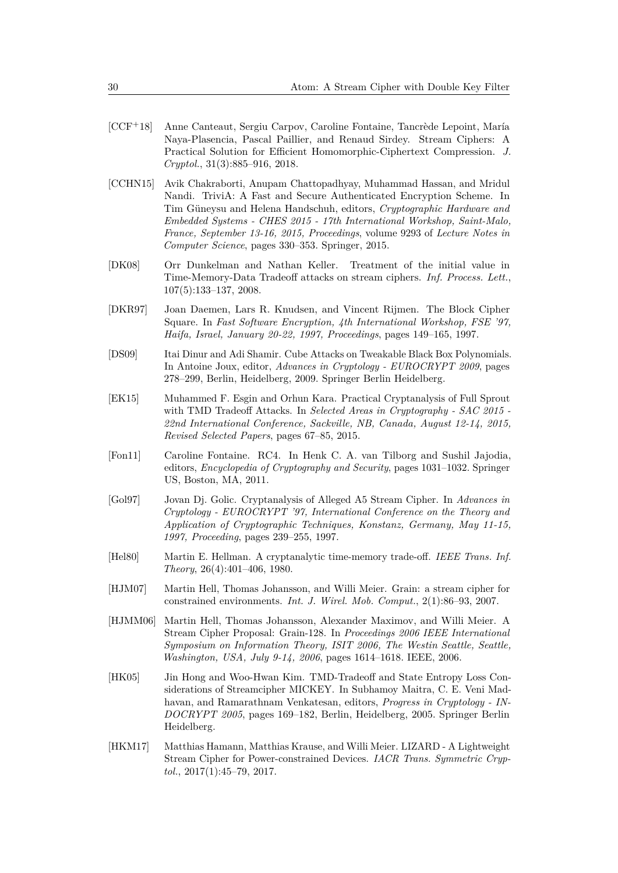- [CCF+18] Anne Canteaut, Sergiu Carpov, Caroline Fontaine, Tancrède Lepoint, María Naya-Plasencia, Pascal Paillier, and Renaud Sirdey. Stream Ciphers: A Practical Solution for Efficient Homomorphic-Ciphertext Compression. *J. Cryptol.*, 31(3):885–916, 2018.
- [CCHN15] Avik Chakraborti, Anupam Chattopadhyay, Muhammad Hassan, and Mridul Nandi. TriviA: A Fast and Secure Authenticated Encryption Scheme. In Tim Güneysu and Helena Handschuh, editors, *Cryptographic Hardware and Embedded Systems - CHES 2015 - 17th International Workshop, Saint-Malo, France, September 13-16, 2015, Proceedings*, volume 9293 of *Lecture Notes in Computer Science*, pages 330–353. Springer, 2015.
- [DK08] Orr Dunkelman and Nathan Keller. Treatment of the initial value in Time-Memory-Data Tradeoff attacks on stream ciphers. *Inf. Process. Lett.*, 107(5):133–137, 2008.
- [DKR97] Joan Daemen, Lars R. Knudsen, and Vincent Rijmen. The Block Cipher Square. In *Fast Software Encryption, 4th International Workshop, FSE '97, Haifa, Israel, January 20-22, 1997, Proceedings*, pages 149–165, 1997.
- [DS09] Itai Dinur and Adi Shamir. Cube Attacks on Tweakable Black Box Polynomials. In Antoine Joux, editor, *Advances in Cryptology - EUROCRYPT 2009*, pages 278–299, Berlin, Heidelberg, 2009. Springer Berlin Heidelberg.
- [EK15] Muhammed F. Esgin and Orhun Kara. Practical Cryptanalysis of Full Sprout with TMD Tradeoff Attacks. In *Selected Areas in Cryptography - SAC 2015 - 22nd International Conference, Sackville, NB, Canada, August 12-14, 2015, Revised Selected Papers*, pages 67–85, 2015.
- [Fon11] Caroline Fontaine. RC4. In Henk C. A. van Tilborg and Sushil Jajodia, editors, *Encyclopedia of Cryptography and Security*, pages 1031–1032. Springer US, Boston, MA, 2011.
- [Gol97] Jovan Dj. Golic. Cryptanalysis of Alleged A5 Stream Cipher. In *Advances in Cryptology - EUROCRYPT '97, International Conference on the Theory and Application of Cryptographic Techniques, Konstanz, Germany, May 11-15, 1997, Proceeding*, pages 239–255, 1997.
- [Hel80] Martin E. Hellman. A cryptanalytic time-memory trade-off. *IEEE Trans. Inf. Theory*, 26(4):401–406, 1980.
- [HJM07] Martin Hell, Thomas Johansson, and Willi Meier. Grain: a stream cipher for constrained environments. *Int. J. Wirel. Mob. Comput.*, 2(1):86–93, 2007.
- [HJMM06] Martin Hell, Thomas Johansson, Alexander Maximov, and Willi Meier. A Stream Cipher Proposal: Grain-128. In *Proceedings 2006 IEEE International Symposium on Information Theory, ISIT 2006, The Westin Seattle, Seattle, Washington, USA, July 9-14, 2006*, pages 1614–1618. IEEE, 2006.
- [HK05] Jin Hong and Woo-Hwan Kim. TMD-Tradeoff and State Entropy Loss Considerations of Streamcipher MICKEY. In Subhamoy Maitra, C. E. Veni Madhavan, and Ramarathnam Venkatesan, editors, *Progress in Cryptology - IN-DOCRYPT 2005*, pages 169–182, Berlin, Heidelberg, 2005. Springer Berlin Heidelberg.
- [HKM17] Matthias Hamann, Matthias Krause, and Willi Meier. LIZARD A Lightweight Stream Cipher for Power-constrained Devices. *IACR Trans. Symmetric Cryptol.*, 2017(1):45–79, 2017.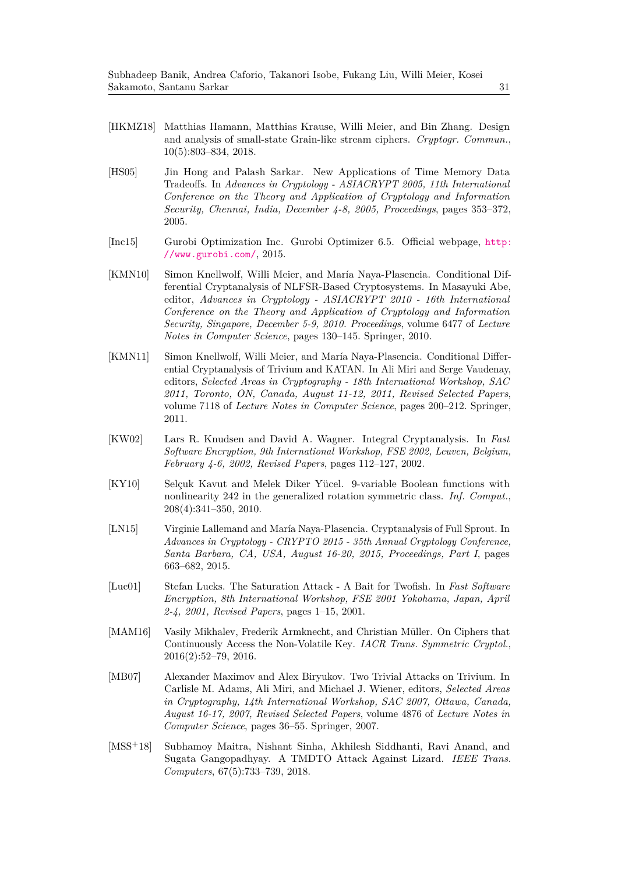- [HKMZ18] Matthias Hamann, Matthias Krause, Willi Meier, and Bin Zhang. Design and analysis of small-state Grain-like stream ciphers. *Cryptogr. Commun.*, 10(5):803–834, 2018.
- [HS05] Jin Hong and Palash Sarkar. New Applications of Time Memory Data Tradeoffs. In *Advances in Cryptology - ASIACRYPT 2005, 11th International Conference on the Theory and Application of Cryptology and Information Security, Chennai, India, December 4-8, 2005, Proceedings*, pages 353–372, 2005.
- [Inc15] Gurobi Optimization Inc. Gurobi Optimizer 6.5. Official webpage, http: //www.gurobi.com/, 2015.
- [KMN10] Simon Knellwolf, Willi Meier, and María Naya-Plasencia. Conditional Differential Cryptanalysis of NLFSR-Based Cryptosystems. In Masayuki Abe, editor, *Advances in Cryptology - ASIACRYPT 2010 - 16th International Conference on the Theory and Application of Cryptology and Information Security, Singapore, December 5-9, 2010. Proceedings*, volume 6477 of *Lecture Notes in Computer Science*, pages 130–145. Springer, 2010.
- [KMN11] Simon Knellwolf, Willi Meier, and María Naya-Plasencia. Conditional Differential Cryptanalysis of Trivium and KATAN. In Ali Miri and Serge Vaudenay, editors, *Selected Areas in Cryptography - 18th International Workshop, SAC 2011, Toronto, ON, Canada, August 11-12, 2011, Revised Selected Papers*, volume 7118 of *Lecture Notes in Computer Science*, pages 200–212. Springer, 2011.
- [KW02] Lars R. Knudsen and David A. Wagner. Integral Cryptanalysis. In *Fast Software Encryption, 9th International Workshop, FSE 2002, Leuven, Belgium, February 4-6, 2002, Revised Papers*, pages 112–127, 2002.
- [KY10] Selçuk Kavut and Melek Diker Yücel. 9-variable Boolean functions with nonlinearity 242 in the generalized rotation symmetric class. *Inf. Comput.*, 208(4):341–350, 2010.
- [LN15] Virginie Lallemand and María Naya-Plasencia. Cryptanalysis of Full Sprout. In *Advances in Cryptology - CRYPTO 2015 - 35th Annual Cryptology Conference, Santa Barbara, CA, USA, August 16-20, 2015, Proceedings, Part I*, pages 663–682, 2015.
- [Luc01] Stefan Lucks. The Saturation Attack A Bait for Twofish. In *Fast Software Encryption, 8th International Workshop, FSE 2001 Yokohama, Japan, April 2-4, 2001, Revised Papers*, pages 1–15, 2001.
- [MAM16] Vasily Mikhalev, Frederik Armknecht, and Christian Müller. On Ciphers that Continuously Access the Non-Volatile Key. *IACR Trans. Symmetric Cryptol.*, 2016(2):52–79, 2016.
- [MB07] Alexander Maximov and Alex Biryukov. Two Trivial Attacks on Trivium. In Carlisle M. Adams, Ali Miri, and Michael J. Wiener, editors, *Selected Areas in Cryptography, 14th International Workshop, SAC 2007, Ottawa, Canada, August 16-17, 2007, Revised Selected Papers*, volume 4876 of *Lecture Notes in Computer Science*, pages 36–55. Springer, 2007.
- [MSS<sup>+</sup>18] Subhamoy Maitra, Nishant Sinha, Akhilesh Siddhanti, Ravi Anand, and Sugata Gangopadhyay. A TMDTO Attack Against Lizard. *IEEE Trans. Computers*, 67(5):733–739, 2018.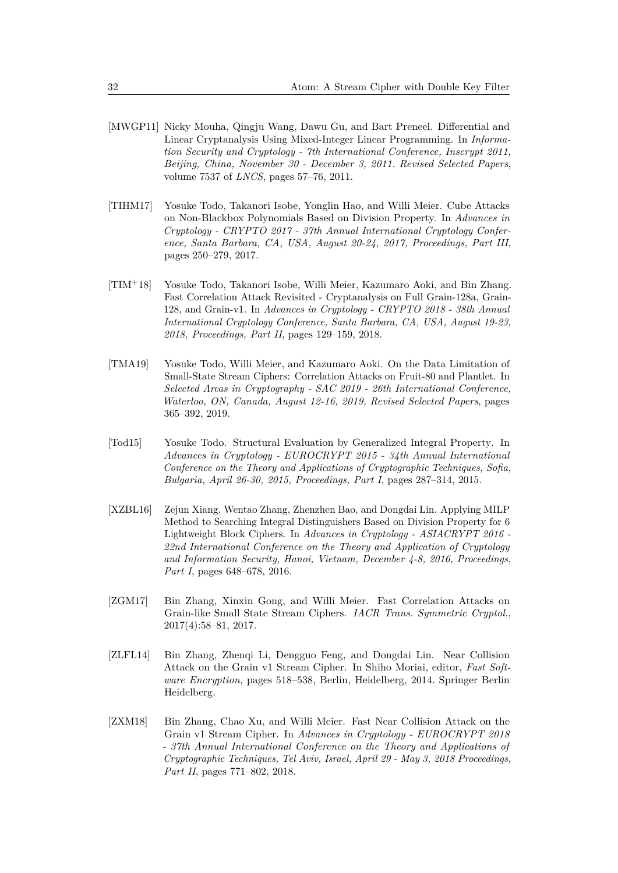- [MWGP11] Nicky Mouha, Qingju Wang, Dawu Gu, and Bart Preneel. Differential and Linear Cryptanalysis Using Mixed-Integer Linear Programming. In *Information Security and Cryptology - 7th International Conference, Inscrypt 2011, Beijing, China, November 30 - December 3, 2011. Revised Selected Papers*, volume 7537 of *LNCS*, pages 57–76, 2011.
- [TIHM17] Yosuke Todo, Takanori Isobe, Yonglin Hao, and Willi Meier. Cube Attacks on Non-Blackbox Polynomials Based on Division Property. In *Advances in Cryptology - CRYPTO 2017 - 37th Annual International Cryptology Conference, Santa Barbara, CA, USA, August 20-24, 2017, Proceedings, Part III*, pages 250–279, 2017.
- [TIM+18] Yosuke Todo, Takanori Isobe, Willi Meier, Kazumaro Aoki, and Bin Zhang. Fast Correlation Attack Revisited - Cryptanalysis on Full Grain-128a, Grain-128, and Grain-v1. In *Advances in Cryptology - CRYPTO 2018 - 38th Annual International Cryptology Conference, Santa Barbara, CA, USA, August 19-23, 2018, Proceedings, Part II*, pages 129–159, 2018.
- [TMA19] Yosuke Todo, Willi Meier, and Kazumaro Aoki. On the Data Limitation of Small-State Stream Ciphers: Correlation Attacks on Fruit-80 and Plantlet. In *Selected Areas in Cryptography - SAC 2019 - 26th International Conference, Waterloo, ON, Canada, August 12-16, 2019, Revised Selected Papers*, pages 365–392, 2019.
- [Tod15] Yosuke Todo. Structural Evaluation by Generalized Integral Property. In *Advances in Cryptology - EUROCRYPT 2015 - 34th Annual International Conference on the Theory and Applications of Cryptographic Techniques, Sofia, Bulgaria, April 26-30, 2015, Proceedings, Part I*, pages 287–314, 2015.
- [XZBL16] Zejun Xiang, Wentao Zhang, Zhenzhen Bao, and Dongdai Lin. Applying MILP Method to Searching Integral Distinguishers Based on Division Property for 6 Lightweight Block Ciphers. In *Advances in Cryptology - ASIACRYPT 2016 - 22nd International Conference on the Theory and Application of Cryptology and Information Security, Hanoi, Vietnam, December 4-8, 2016, Proceedings, Part I*, pages 648–678, 2016.
- [ZGM17] Bin Zhang, Xinxin Gong, and Willi Meier. Fast Correlation Attacks on Grain-like Small State Stream Ciphers. *IACR Trans. Symmetric Cryptol.*, 2017(4):58–81, 2017.
- [ZLFL14] Bin Zhang, Zhenqi Li, Dengguo Feng, and Dongdai Lin. Near Collision Attack on the Grain v1 Stream Cipher. In Shiho Moriai, editor, *Fast Software Encryption*, pages 518–538, Berlin, Heidelberg, 2014. Springer Berlin Heidelberg.
- [ZXM18] Bin Zhang, Chao Xu, and Willi Meier. Fast Near Collision Attack on the Grain v1 Stream Cipher. In *Advances in Cryptology - EUROCRYPT 2018 - 37th Annual International Conference on the Theory and Applications of Cryptographic Techniques, Tel Aviv, Israel, April 29 - May 3, 2018 Proceedings, Part II*, pages 771–802, 2018.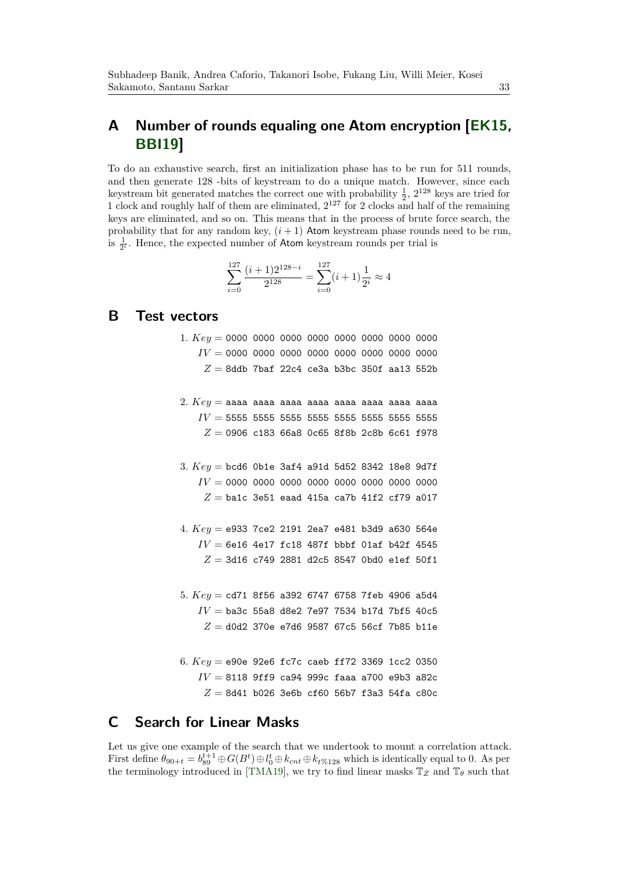# **A Number of rounds equaling one Atom encryption [EK15, BBI19]**

To do an exhaustive search, first an initialization phase has to be run for 511 rounds, and then generate 128 -bits of keystream to do a unique match. However, since each keystream bit generated matches the correct one with probability  $\frac{1}{2}$ ,  $2^{128}$  keys are tried for 1 clock and roughly half of them are eliminated,  $2^{127}$  for 2 clocks and half of the remaining keys are eliminated, and so on. This means that in the process of brute force search, the probability that for any random key,  $(i + 1)$  Atom keystream phase rounds need to be run, is  $\frac{1}{2^i}$ . Hence, the expected number of Atom keystream rounds per trial is

$$
\sum_{i=0}^{127} \frac{(i+1)2^{128-i}}{2^{128}} = \sum_{i=0}^{127} (i+1)\frac{1}{2^i} \approx 4
$$

### **B Test vectors**

- 1*. Key* = 0000 0000 0000 0000 0000 0000 0000 0000 *IV* = 0000 0000 0000 0000 0000 0000 0000 0000  $Z = 8$ ddb 7baf 22c4 ce3a b3bc 350f aa13 552b
- 2*. Key* = aaaa aaaa aaaa aaaa aaaa aaaa aaaa aaaa  $IV = 5555$  5555 5555 5555 5555 5555 55555 5555  $Z = 0906$  c183 66a8 0c65 8f8b 2c8b 6c61 f978
- 3*. Key* = bcd6 0b1e 3af4 a91d 5d52 8342 18e8 9d7f *IV* = 0000 0000 0000 0000 0000 0000 0000 0000  $Z =$  ba1c 3e51 eaad 415a ca7b 41f2 cf79 a017
- 4*. Key* = e933 7ce2 2191 2ea7 e481 b3d9 a630 564e  $IV = 6e16$  4e17 fc18 487f bbbf 01af b42f 4545 *Z* = 3d16 c749 2881 d2c5 8547 0bd0 e1ef 50f1
- 5*. Key* = cd71 8f56 a392 6747 6758 7feb 4906 a5d4  $IV =$  ba3c 55a8 d8e2 7e97 7534 b17d 7bf5 40c5  $Z =$  d0d2 370e e7d6 9587 67c5 56cf 7b85 b11e
- 6*. Key* = e90e 92e6 fc7c caeb ff72 3369 1cc2 0350 *IV* = 8118 9ff9 ca94 999c faaa a700 e9b3 a82c  $Z = 8d41$  b026 3e6b cf60 56b7 f3a3 54fa c80c

## **C Search for Linear Masks**

Let us give one example of the search that we undertook to mount a correlation attack. First define  $\theta_{90+t} = b_{89}^{t+1} \oplus G(B^t) \oplus l_0^t \oplus k_{cnt} \oplus k_{t\%128}$  which is identically equal to 0. As per the terminology introduced in [TMA19], we try to find linear masks  $\mathbb{T}_Z$  and  $\mathbb{T}_\theta$  such that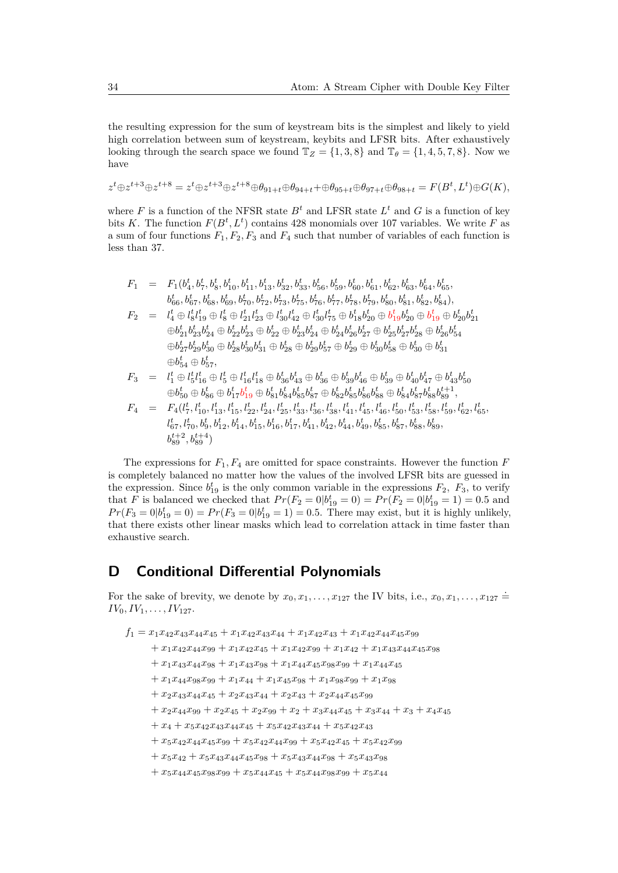the resulting expression for the sum of keystream bits is the simplest and likely to yield high correlation between sum of keystream, keybits and LFSR bits. After exhaustively looking through the search space we found  $\mathbb{T}_Z = \{1,3,8\}$  and  $\mathbb{T}_\theta = \{1,4,5,7,8\}$ . Now we have

$$
z^t \oplus z^{t+3} \oplus z^{t+8} = z^t \oplus z^{t+3} \oplus z^{t+8} \oplus \theta_{91+t} \oplus \theta_{94+t} + \oplus \theta_{95+t} \oplus \theta_{97+t} \oplus \theta_{98+t} = F(B^t, L^t) \oplus G(K),
$$

where *F* is a function of the NFSR state  $B<sup>t</sup>$  and LFSR state  $L<sup>t</sup>$  and *G* is a function of key bits *K*. The function  $F(B^t, L^t)$  contains 428 monomials over 107 variables. We write *F* as a sum of four functions  $F_1, F_2, F_3$  and  $F_4$  such that number of variables of each function is less than 37.

$$
\begin{array}{lll} F_1&=&F_1(b_4^t,b_7^t,b_8^t,b_{10}^t,b_{11}^t,b_{13}^t,b_{32}^t,b_{33}^t,b_{56}^t,b_{59}^t,b_{60}^t,b_{61}^t,b_{62}^t,b_{63}^t,b_{64}^t,b_{65}^t,\\ &&& b_{66}^t,b_{67}^t,b_{68}^t,b_{69}^t,b_{70}^t,b_{72}^t,b_{73}^t,b_{75}^t,b_{76}^t,b_{77}^t,b_{78}^t,b_{79}^t,b_{80}^t,b_{81}^t,b_{82}^t,b_{84}^t),\\ F_2&=&l_4^t\oplus l_8^t l_{19}^t\oplus l_8^t\oplus l_{21}^t l_{23}^t\oplus l_{30}^t l_{42}^t\oplus l_{30}^t l_{75}^t\oplus b_{18}^t b_{20}^t\oplus b_{19}^t b_{20}^t\oplus b_{19}^t\oplus b_{20}^t b_{21}^t\\ &&& \oplus b_{21}^t b_{23}^t b_{24}^t\oplus b_{22}^t b_{23}^t\oplus b_{22}^t\oplus b_{23}^t b_{24}^t\oplus b_{24}^t b_{24}^t b_{26}^t b_{27}^t\oplus b_{25}^t b_{27}^t b_{28}^t\oplus b_{26}^t b_{54}^t\\ &&& \oplus b_{25}^t b_{29}^t b_{30}^t\oplus b_{28}^t b_{30}^t b_{31}^t\oplus b_{28}^t\oplus b_{29}^t b_{27}^t\oplus b_{29}^t\oplus b_{30}^t b_{58}^t\oplus b_{30}^t\oplus b_{31}^t\\ &&& \oplus b_{54}^t\oplus b_{57}^t, \end{array}
$$

$$
F_3 = l_1^t \oplus l_5^t l_{16}^t \oplus l_5^t \oplus l_{16}^t l_{18}^t \oplus b_{36}^t b_{43}^t \oplus b_{36}^t \oplus b_{39}^t b_{46}^t \oplus b_{39}^t \oplus b_{40}^t b_{47}^t \oplus b_{43}^t b_{50}^t
$$
  

$$
\oplus b_{50}^t \oplus b_{56}^t \oplus b_{17}^t b_{19}^t \oplus b_{81}^t b_{84}^t b_{85}^t b_{87}^t \oplus b_{82}^t b_{85}^t b_{86}^t \oplus b_{88}^t \oplus b_{84}^t b_{87}^t b_{88}^t b_{89}^{t+1},
$$

$$
F_4 = F_4(l_7^t, l_{10}^t, l_{13}^t, l_{15}^t, l_{22}^t, l_{24}^t, l_{25}^t, l_{33}^t, l_{36}^t, l_{38}^t, l_{41}^t, l_{45}^t, l_{46}^t, l_{50}^t, l_{53}^t, l_{58}^t, l_{59}^t, l_{62}^t, l_{65}^t, l_{65}^t, l_{65}^t, l_{65}^t, l_{65}^t, l_{65}^t, l_{65}^t, l_{65}^t, l_{65}^t, l_{65}^t, l_{65}^t, l_{65}^t, l_{65}^t, l_{65}^t, l_{65}^t, l_{65}^t, l_{65}^t, l_{65}^t, l_{65}^t, l_{65}^t, l_{65}^t, l_{65}^t, l_{65}^t, l_{65}^t, l_{65}^t, l_{65}^t, l_{65}^t, l_{65}^t, l_{65}^t, l_{65}^t, l_{65}^t, l_{65}^t, l_{65}^t, l_{65}^t, l_{65}^t, l_{65}^t, l_{65}^t, l_{65}^t, l_{65}^t, l_{65}^t, l_{65}^t, l_{65}^t, l_{65}^t, l_{65}^t, l_{65}^t, l_{65}^t, l_{65}^t, l_{65}^t, l_{65}^t, l_{65}^t, l_{65}^t, l_{65}^t, l_{65}^t, l_{65}^t, l_{65}^t, l_{65}^t, l_{65}^t, l_{65}^t, l_{65}^t, l_{65}^t, l_{65}^t, l_{65}^t, l_{65}^t, l_{65}^t, l_{65}^t, l_{65}^t, l_{65}^t, l_{65}^t, l_{65}^t, l_{65}^t, l_{65}^t, l_{65}^t, l_{65}^t, l_{65}^t, l_{65}^t, l_{65}^t, l_{
$$

The expressions for  $F_1, F_4$  are omitted for space constraints. However the function  $F$ is completely balanced no matter how the values of the involved LFSR bits are guessed in the expression. Since  $b_{19}^t$  is the only common variable in the expressions  $F_2$ ,  $F_3$ , to verify that *F* is balanced we checked that  $Pr(F_2 = 0|b_{19}^t = 0) = Pr(F_2 = 0|b_{19}^t = 1) = 0.5$  and  $Pr(F_3 = 0 | b_{19}^t = 0) = Pr(F_3 = 0 | b_{19}^t = 1) = 0.5$ . There may exist, but it is highly unlikely, that there exists other linear masks which lead to correlation attack in time faster than exhaustive search.

## **D Conditional Differential Polynomials**

For the sake of brevity, we denote by  $x_0, x_1, \ldots, x_{127}$  the IV bits, i.e.,  $x_0, x_1, \ldots, x_{127} =$  $IV_0, IV_1, \ldots, IV_{127}$ .

 $f_1 = x_1x_4x_3x_4x_4x_5 + x_1x_4x_2x_4x_3x_4 + x_1x_4x_4x_4x_5x_4x_6x_9$ 

```
+x_1x_4x_4x_99 + x_1x_4x_2x_45 + x_1x_4x_2x_99 + x_1x_42 + x_1x_4x_3x_4x_45x_98
```
- $+x_1x_43x_44x_98 + x_1x_43x_98 + x_1x_44x_45x_98x_99 + x_1x_44x_45$
- $+x_1x_4x_98x_99 + x_1x_44 + x_1x_45x_98 + x_1x_98x_99 + x_1x_98$
- $+x_2x_{43}x_{44}x_{45} + x_2x_{43}x_{44} + x_2x_{43} + x_2x_{44}x_{45}x_{99}$

 $+ x_2 x_{44} x_{99} + x_2 x_{45} + x_2 x_{99} + x_2 + x_3 x_{44} x_{45} + x_3 x_{44} + x_3 + x_4 x_{45}$ 

- $+x_4 + x_5x_{42}x_{43}x_{44}x_{45} + x_5x_{42}x_{43}x_{44} + x_5x_{42}x_{43}$
- $+x_5x_42x_44x_45x_99 + x_5x_42x_44x_99 + x_5x_42x_45 + x_5x_42x_99$
- $+x_5x_{42} + x_5x_{43}x_{44}x_{45}x_{98} + x_5x_{43}x_{44}x_{98} + x_5x_{43}x_{98}$
- $+ x_5x_4x_4x_45x_98x_99 + x_5x_4x_4x_45 + x_5x_4x_4x_98x_99 + x_5x_44$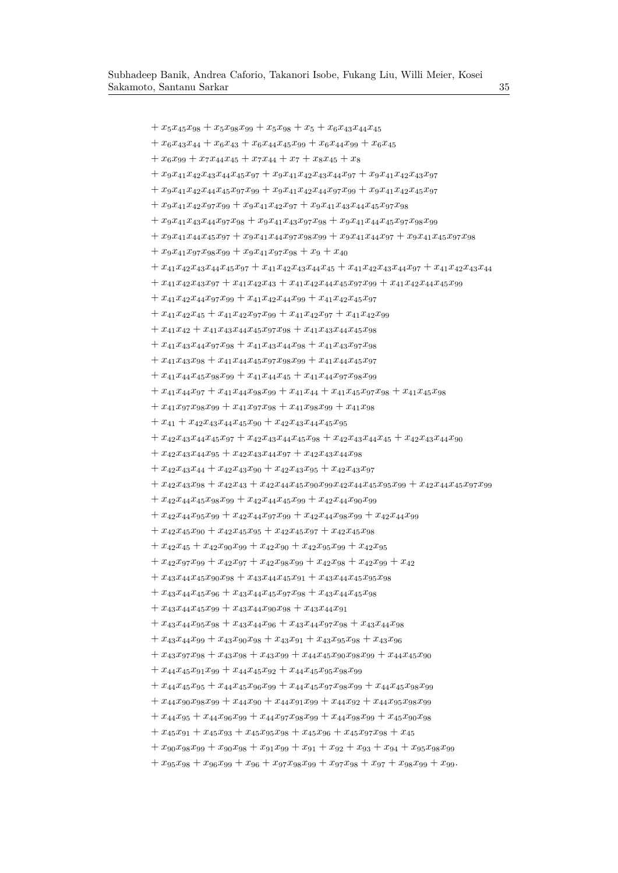$+ x_5x_45x_{98} + x_5x_{98}x_{99} + x_5x_{98}x_{98} + x_5 + x_6x_{43}x_{44}x_{45}$  $+ x_6x_{43}x_{44} + x_6x_{43} + x_6x_{44}x_{45}x_{99} + x_6x_{44}x_{99} + x_6x_{45}$  $+x_6x_{99} + x_7x_{44}x_{45} + x_7x_{44} + x_7 + x_8x_{45} + x_8$  $+ x_9x_{41}x_{42}x_{43}x_{44}x_{45}x_{97} + x_9x_{41}x_{42}x_{43}x_{44}x_{97} + x_9x_{41}x_{42}x_{43}x_{97}$  $+ x_9x_{41}x_{42}x_{44}x_{45}x_{97}x_{99} + x_9x_{41}x_{42}x_{44}x_{97}x_{99} + x_9x_{41}x_{42}x_{45}x_{97}$  $+x_9x_{41}x_{42}x_{97}x_{99} + x_9x_{41}x_{42}x_{97} + x_9x_{41}x_{43}x_{44}x_{45}x_{97}x_{98}$  $+x_9x_{41}x_{43}x_{44}x_{97}x_{98} + x_9x_{41}x_{43}x_{97}x_{98} + x_9x_{41}x_{44}x_{45}x_{97}x_{98}x_{99}$  $+ x_9x_{41}x_{44}x_{45}x_{97} + x_9x_{41}x_{44}x_{97}x_{98}x_{99} + x_9x_{41}x_{44}x_{97} + x_9x_{41}x_{45}x_{97}x_{98}$  $+x_9x_{41}x_{97}x_{98}x_{99} + x_9x_{41}x_{97}x_{98} + x_9 + x_{40}$  $+ x_{41}x_{42}x_{43}x_{44}x_{45}x_{97} + x_{41}x_{42}x_{43}x_{44}x_{45} + x_{41}x_{42}x_{43}x_{44}x_{97} + x_{41}x_{42}x_{43}x_{44}$  $+x_{41}x_{42}x_{43}x_{97} + x_{41}x_{42}x_{43} + x_{41}x_{42}x_{44}x_{45}x_{97}x_{99} + x_{41}x_{42}x_{44}x_{45}x_{99}$  $+x_{41}x_{42}x_{44}x_{97}x_{99} + x_{41}x_{42}x_{44}x_{99} + x_{41}x_{42}x_{45}x_{97}$  $+x_{41}x_{42}x_{45} + x_{41}x_{42}x_{97}x_{99} + x_{41}x_{42}x_{97} + x_{41}x_{42}x_{99}$  $+x_{41}x_{42} + x_{41}x_{43}x_{44}x_{45}x_{97}x_{98} + x_{41}x_{43}x_{44}x_{45}x_{98}$  $+x_{41}x_{43}x_{44}x_{97}x_{98} + x_{41}x_{43}x_{44}x_{98} + x_{41}x_{43}x_{97}x_{98}$  $+x_{41}x_{43}x_{98} + x_{41}x_{44}x_{45}x_{97}x_{98}x_{99} + x_{41}x_{44}x_{45}x_{97}$  $+x_{41}x_{44}x_{45}x_{98}x_{99} + x_{41}x_{44}x_{45} + x_{41}x_{44}x_{97}x_{98}x_{99}$  $+x_{41}x_{44}x_{97} + x_{41}x_{44}x_{98}x_{99} + x_{41}x_{44} + x_{41}x_{45}x_{97}x_{98} + x_{41}x_{45}x_{98}$  $+x_{41}x_{97}x_{98}x_{99} + x_{41}x_{97}x_{98} + x_{41}x_{98}x_{99} + x_{41}x_{98}$  $+ x_{41} + x_{42}x_{43}x_{44}x_{45}x_{90} + x_{42}x_{43}x_{44}x_{45}x_{95}$  $+ x_{42}x_{43}x_{44}x_{45}x_{97} + x_{42}x_{43}x_{44}x_{45}x_{98} + x_{42}x_{43}x_{44}x_{45} + x_{42}x_{43}x_{44}x_{90}$  $+ x_{42}x_{43}x_{44}x_{95} + x_{42}x_{43}x_{44}x_{97} + x_{42}x_{43}x_{44}x_{98}$  $+x_{42}x_{43}x_{44} + x_{42}x_{43}x_{90} + x_{42}x_{43}x_{95} + x_{42}x_{43}x_{97}$  $+x_{42}x_{43}x_{98} + x_{42}x_{43} + x_{42}x_{44}x_{45}x_{90}x_{99}x_{42}x_{44}x_{45}x_{95}x_{99} + x_{42}x_{44}x_{45}x_{97}x_{99}$  $+x_{42}x_{44}x_{45}x_{98}x_{99} + x_{42}x_{44}x_{45}x_{99} + x_{42}x_{44}x_{90}x_{99}$  $+x_{42}x_{44}x_{95}x_{99} + x_{42}x_{44}x_{97}x_{99} + x_{42}x_{44}x_{98}x_{99} + x_{42}x_{44}x_{99}$  $+x_{42}x_{45}x_{90} + x_{42}x_{45}x_{95} + x_{42}x_{45}x_{97} + x_{42}x_{45}x_{98}$  $+x_{42}x_{45} + x_{42}x_{90}x_{99} + x_{42}x_{90} + x_{42}x_{95}x_{99} + x_{42}x_{95}$  $+x_{42}x_{97}x_{99} + x_{42}x_{97} + x_{42}x_{98}x_{99} + x_{42}x_{98} + x_{42}x_{99} + x_{42}$  $+x_{43}x_{44}x_{45}x_{90}x_{98} + x_{43}x_{44}x_{45}x_{91} + x_{43}x_{44}x_{45}x_{95}x_{98}$  $+x_{43}x_{44}x_{45}x_{96} + x_{43}x_{44}x_{45}x_{97}x_{98} + x_{43}x_{44}x_{45}x_{98}$  $+x_{43}x_{44}x_{45}x_{99} + x_{43}x_{44}x_{90}x_{98} + x_{43}x_{44}x_{91}$  $+x_{43}x_{44}x_{95}x_{98} + x_{43}x_{44}x_{96} + x_{43}x_{44}x_{97}x_{98} + x_{43}x_{44}x_{98}$  $+x_{43}x_{44}x_{99} + x_{43}x_{90}x_{98} + x_{43}x_{91} + x_{43}x_{95}x_{98} + x_{43}x_{96}$  $+x_{43}x_{97}x_{98} + x_{43}x_{98} + x_{43}x_{99} + x_{44}x_{45}x_{90}x_{98}x_{99} + x_{44}x_{45}x_{90}$  $+x_{44}x_{45}x_{91}x_{99} + x_{44}x_{45}x_{92} + x_{44}x_{45}x_{95}x_{98}x_{99}$  $+x_{44}x_{45}x_{95} + x_{44}x_{45}x_{96}x_{99} + x_{44}x_{45}x_{97}x_{98}x_{99} + x_{44}x_{45}x_{98}x_{99}$  $+x_{44}x_{90}x_{98}x_{99} + x_{44}x_{90} + x_{44}x_{91}x_{99} + x_{44}x_{92} + x_{44}x_{95}x_{98}x_{99}$  $+x_{44}x_{95} + x_{44}x_{96}x_{99} + x_{44}x_{97}x_{98}x_{99} + x_{44}x_{98}x_{99} + x_{45}x_{90}x_{98}$  $+x_{45}x_{91} + x_{45}x_{93} + x_{45}x_{95}x_{98} + x_{45}x_{96} + x_{45}x_{97}x_{98} + x_{45}$ 

 $+x_{90}x_{98}x_{99} + x_{90}x_{98} + x_{91}x_{99} + x_{91}x_{92} + x_{93}x_{94} + x_{94}x_{95}x_{98}x_{99}$ 

 $+x_{95}x_{98} + x_{96}x_{99} + x_{96} + x_{97}x_{98}x_{99} + x_{97}x_{98} + x_{97} + x_{98}x_{99} + x_{99}.$